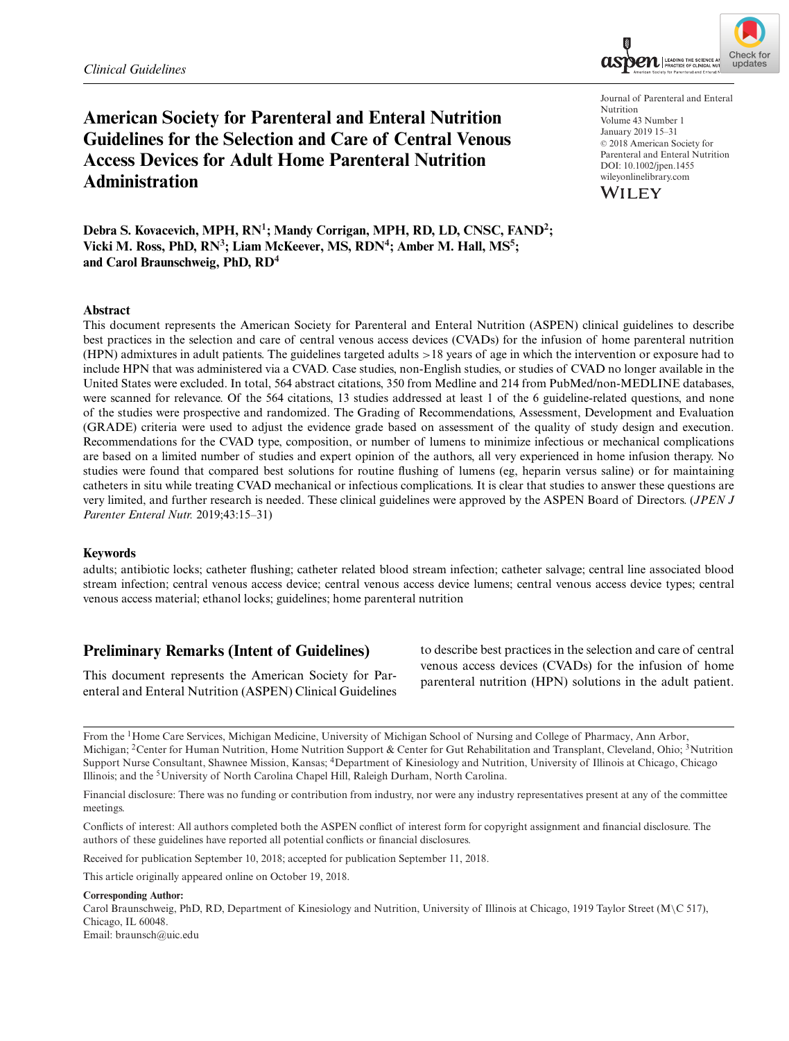

# **American Society for Parenteral and Enteral Nutrition Guidelines for the Selection and Care of Central Venous Access Devices for Adult Home Parenteral Nutrition Administration**

Journal of Parenteral and Enteral Nutrition Volume 43 Number 1 January 2019 15–31 © 2018 American Society for Parenteral and Enteral Nutrition DOI: 10.1002/jpen.1455 wileyonlinelibrary.com



Debra S. Kovacevich, MPH, RN<sup>1</sup>; Mandy Corrigan, MPH, RD, LD, CNSC, FAND<sup>2</sup>; **Vicki M. Ross, PhD, RN3; Liam McKeever, MS, RDN4; Amber M. Hall, MS5; and Carol Braunschweig, PhD, RD4**

#### **Abstract**

This document represents the American Society for Parenteral and Enteral Nutrition (ASPEN) clinical guidelines to describe best practices in the selection and care of central venous access devices (CVADs) for the infusion of home parenteral nutrition (HPN) admixtures in adult patients. The guidelines targeted adults >18 years of age in which the intervention or exposure had to include HPN that was administered via a CVAD. Case studies, non-English studies, or studies of CVAD no longer available in the United States were excluded. In total, 564 abstract citations, 350 from Medline and 214 from PubMed/non-MEDLINE databases, were scanned for relevance. Of the 564 citations, 13 studies addressed at least 1 of the 6 guideline-related questions, and none of the studies were prospective and randomized. The Grading of Recommendations, Assessment, Development and Evaluation (GRADE) criteria were used to adjust the evidence grade based on assessment of the quality of study design and execution. Recommendations for the CVAD type, composition, or number of lumens to minimize infectious or mechanical complications are based on a limited number of studies and expert opinion of the authors, all very experienced in home infusion therapy. No studies were found that compared best solutions for routine flushing of lumens (eg, heparin versus saline) or for maintaining catheters in situ while treating CVAD mechanical or infectious complications. It is clear that studies to answer these questions are very limited, and further research is needed. These clinical guidelines were approved by the ASPEN Board of Directors. (*JPEN J Parenter Enteral Nutr.* 2019;43:15–31)

#### **Keywords**

adults; antibiotic locks; catheter flushing; catheter related blood stream infection; catheter salvage; central line associated blood stream infection; central venous access device; central venous access device lumens; central venous access device types; central venous access material; ethanol locks; guidelines; home parenteral nutrition

# **Preliminary Remarks (Intent of Guidelines)**

This document represents the American Society for Parenteral and Enteral Nutrition (ASPEN) Clinical Guidelines to describe best practices in the selection and care of central venous access devices (CVADs) for the infusion of home parenteral nutrition (HPN) solutions in the adult patient.

From the <sup>1</sup>Home Care Services, Michigan Medicine, University of Michigan School of Nursing and College of Pharmacy, Ann Arbor, Michigan; <sup>2</sup>Center for Human Nutrition, Home Nutrition Support & Center for Gut Rehabilitation and Transplant, Cleveland, Ohio; <sup>3</sup>Nutrition Support Nurse Consultant, Shawnee Mission, Kansas; 4Department of Kinesiology and Nutrition, University of Illinois at Chicago, Chicago Illinois; and the 5University of North Carolina Chapel Hill, Raleigh Durham, North Carolina.

Financial disclosure: There was no funding or contribution from industry, nor were any industry representatives present at any of the committee meetings.

Conflicts of interest: All authors completed both the ASPEN conflict of interest form for copyright assignment and financial disclosure. The authors of these guidelines have reported all potential conflicts or financial disclosures.

Received for publication September 10, 2018; accepted for publication September 11, 2018.

This article originally appeared online on October 19, 2018.

**Corresponding Author:**

Carol Braunschweig, PhD, RD, Department of Kinesiology and Nutrition, University of Illinois at Chicago, 1919 Taylor Street (M\C 517), Chicago, IL 60048.

Email: braunsch@uic.edu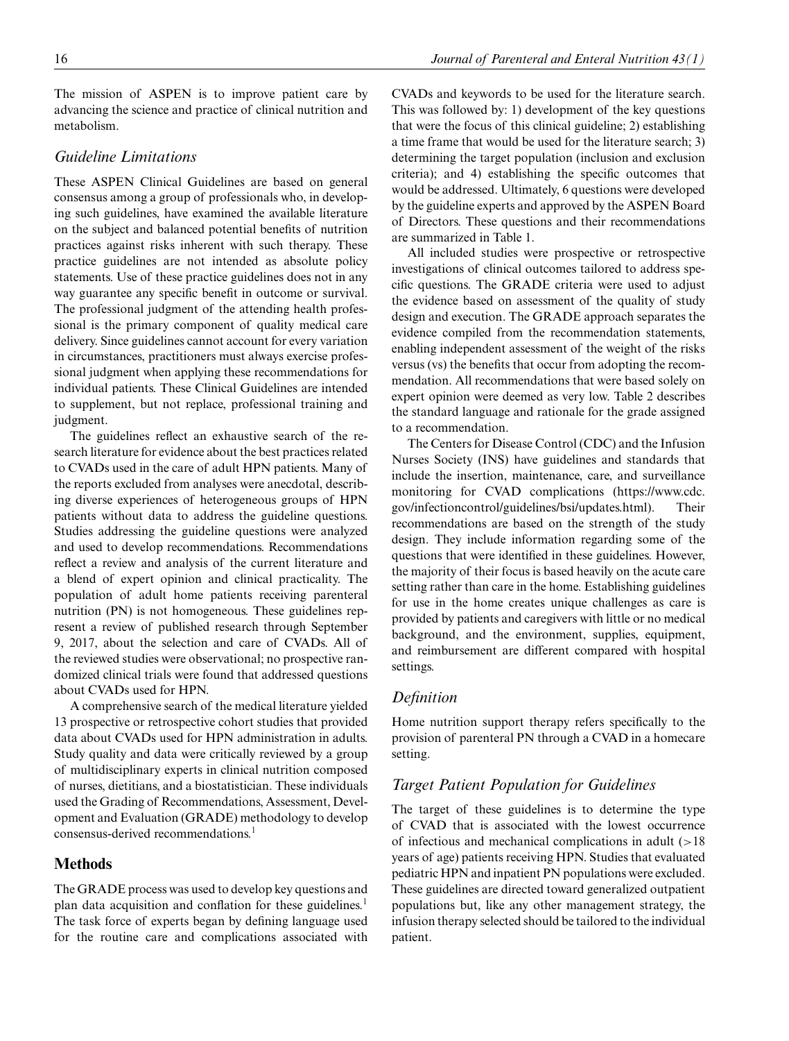The mission of ASPEN is to improve patient care by advancing the science and practice of clinical nutrition and metabolism.

# *Guideline Limitations*

These ASPEN Clinical Guidelines are based on general consensus among a group of professionals who, in developing such guidelines, have examined the available literature on the subject and balanced potential benefits of nutrition practices against risks inherent with such therapy. These practice guidelines are not intended as absolute policy statements. Use of these practice guidelines does not in any way guarantee any specific benefit in outcome or survival. The professional judgment of the attending health professional is the primary component of quality medical care delivery. Since guidelines cannot account for every variation in circumstances, practitioners must always exercise professional judgment when applying these recommendations for individual patients. These Clinical Guidelines are intended to supplement, but not replace, professional training and judgment.

The guidelines reflect an exhaustive search of the research literature for evidence about the best practices related to CVADs used in the care of adult HPN patients. Many of the reports excluded from analyses were anecdotal, describing diverse experiences of heterogeneous groups of HPN patients without data to address the guideline questions. Studies addressing the guideline questions were analyzed and used to develop recommendations. Recommendations reflect a review and analysis of the current literature and a blend of expert opinion and clinical practicality. The population of adult home patients receiving parenteral nutrition (PN) is not homogeneous. These guidelines represent a review of published research through September 9, 2017, about the selection and care of CVADs. All of the reviewed studies were observational; no prospective randomized clinical trials were found that addressed questions about CVADs used for HPN.

A comprehensive search of the medical literature yielded 13 prospective or retrospective cohort studies that provided data about CVADs used for HPN administration in adults. Study quality and data were critically reviewed by a group of multidisciplinary experts in clinical nutrition composed of nurses, dietitians, and a biostatistician. These individuals used the Grading of Recommendations, Assessment, Development and Evaluation (GRADE) methodology to develop consensus-derived recommendations.<sup>1</sup>

### **Methods**

The GRADE process was used to develop key questions and plan data acquisition and conflation for these guidelines.<sup>1</sup> The task force of experts began by defining language used for the routine care and complications associated with CVADs and keywords to be used for the literature search. This was followed by: 1) development of the key questions that were the focus of this clinical guideline; 2) establishing a time frame that would be used for the literature search; 3) determining the target population (inclusion and exclusion criteria); and 4) establishing the specific outcomes that would be addressed. Ultimately, 6 questions were developed by the guideline experts and approved by the ASPEN Board of Directors. These questions and their recommendations are summarized in Table 1.

All included studies were prospective or retrospective investigations of clinical outcomes tailored to address specific questions. The GRADE criteria were used to adjust the evidence based on assessment of the quality of study design and execution. The GRADE approach separates the evidence compiled from the recommendation statements, enabling independent assessment of the weight of the risks versus (vs) the benefits that occur from adopting the recommendation. All recommendations that were based solely on expert opinion were deemed as very low. Table 2 describes the standard language and rationale for the grade assigned to a recommendation.

The Centers for Disease Control (CDC) and the Infusion Nurses Society (INS) have guidelines and standards that include the insertion, maintenance, care, and surveillance monitoring for CVAD complications [\(https://www.cdc.](https://www.cdc.gov/infectioncontrol/guidelines/bsi/updates.html) [gov/infectioncontrol/guidelines/bsi/updates.html\)](https://www.cdc.gov/infectioncontrol/guidelines/bsi/updates.html). Their recommendations are based on the strength of the study design. They include information regarding some of the questions that were identified in these guidelines. However, the majority of their focus is based heavily on the acute care setting rather than care in the home. Establishing guidelines for use in the home creates unique challenges as care is provided by patients and caregivers with little or no medical background, and the environment, supplies, equipment, and reimbursement are different compared with hospital settings.

### *Definition*

Home nutrition support therapy refers specifically to the provision of parenteral PN through a CVAD in a homecare setting.

# *Target Patient Population for Guidelines*

The target of these guidelines is to determine the type of CVAD that is associated with the lowest occurrence of infectious and mechanical complications in adult (>18 years of age) patients receiving HPN. Studies that evaluated pediatric HPN and inpatient PN populations were excluded. These guidelines are directed toward generalized outpatient populations but, like any other management strategy, the infusion therapy selected should be tailored to the individual patient.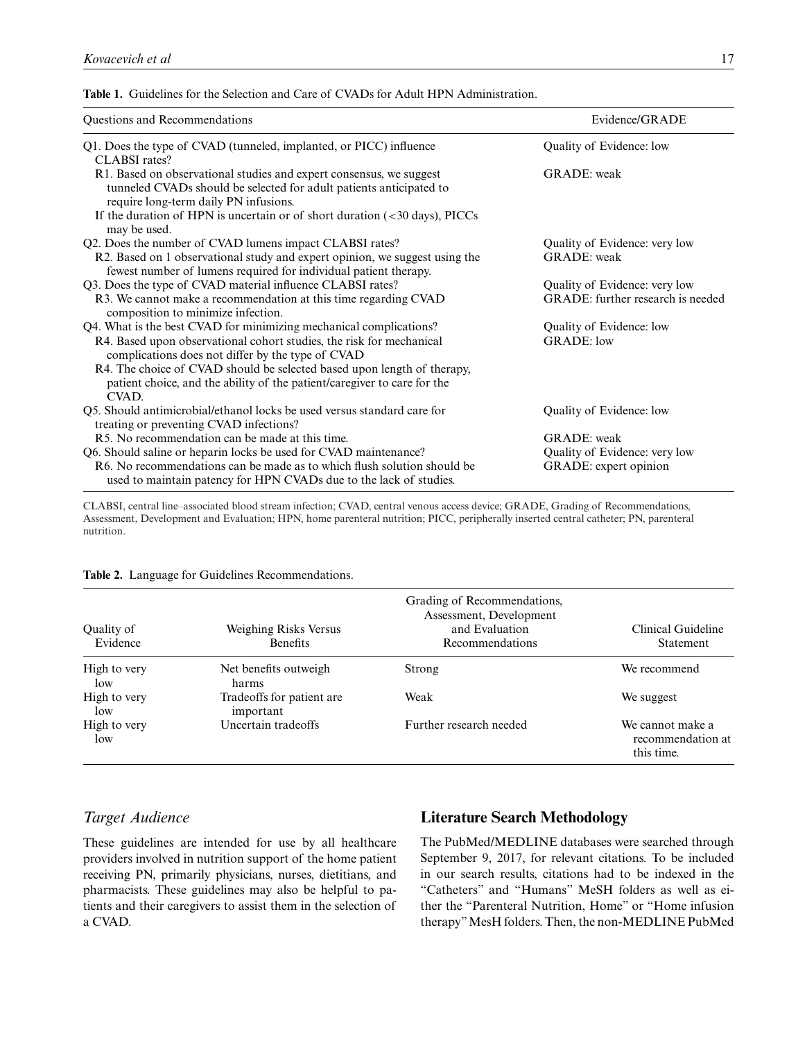### **Table 1.** Guidelines for the Selection and Care of CVADs for Adult HPN Administration.

| Questions and Recommendations                                                                                                                                                       | Evidence/GRADE                    |
|-------------------------------------------------------------------------------------------------------------------------------------------------------------------------------------|-----------------------------------|
| Q1. Does the type of CVAD (tunneled, implanted, or PICC) influence<br><b>CLABSI</b> rates?                                                                                          | Quality of Evidence: low          |
| R1. Based on observational studies and expert consensus, we suggest<br>tunneled CVADs should be selected for adult patients anticipated to<br>require long-term daily PN infusions. | <b>GRADE</b> : weak               |
| If the duration of HPN is uncertain or of short duration $\left( < 30 \text{ days} \right)$ , PICCs<br>may be used.                                                                 |                                   |
| Q2. Does the number of CVAD lumens impact CLABSI rates?                                                                                                                             | Quality of Evidence: very low     |
| R2. Based on 1 observational study and expert opinion, we suggest using the<br>fewest number of lumens required for individual patient therapy.                                     | <b>GRADE</b> : weak               |
| Q3. Does the type of CVAD material influence CLABSI rates?                                                                                                                          | Quality of Evidence: very low     |
| R3. We cannot make a recommendation at this time regarding CVAD<br>composition to minimize infection.                                                                               | GRADE: further research is needed |
| Q4. What is the best CVAD for minimizing mechanical complications?                                                                                                                  | Quality of Evidence: low          |
| R4. Based upon observational cohort studies, the risk for mechanical<br>complications does not differ by the type of CVAD                                                           | <b>GRADE:</b> low                 |
| R4. The choice of CVAD should be selected based upon length of therapy,<br>patient choice, and the ability of the patient/caregiver to care for the<br>CVAD.                        |                                   |
| Q5. Should antimicrobial/ethanol locks be used versus standard care for<br>treating or preventing CVAD infections?                                                                  | Quality of Evidence: low          |
| R.5. No recommendation can be made at this time.                                                                                                                                    | <b>GRADE</b> : weak               |
| Q6. Should saline or heparin locks be used for CVAD maintenance?                                                                                                                    | Quality of Evidence: very low     |
| R6. No recommendations can be made as to which flush solution should be<br>used to maintain patency for HPN CVADs due to the lack of studies.                                       | GRADE: expert opinion             |

CLABSI, central line–associated blood stream infection; CVAD, central venous access device; GRADE, Grading of Recommendations, Assessment, Development and Evaluation; HPN, home parenteral nutrition; PICC, peripherally inserted central catheter; PN, parenteral nutrition.

|  |  |  |  | <b>Table 2.</b> Language for Guidelines Recommendations. |
|--|--|--|--|----------------------------------------------------------|
|--|--|--|--|----------------------------------------------------------|

| Quality of<br>Evidence | Weighing Risks Versus<br><b>Benefits</b> | Grading of Recommendations,<br>Assessment, Development<br>and Evaluation<br>Recommendations | Clinical Guideline<br><b>Statement</b>              |
|------------------------|------------------------------------------|---------------------------------------------------------------------------------------------|-----------------------------------------------------|
| High to very<br>low    | Net benefits outweigh.<br>harms          | Strong                                                                                      | We recommend                                        |
| High to very<br>low    | Tradeoffs for patient are.<br>important  | Weak                                                                                        | We suggest                                          |
| High to very<br>low    | Uncertain tradeoffs                      | Further research needed                                                                     | We cannot make a<br>recommendation at<br>this time. |

# *Target Audience*

These guidelines are intended for use by all healthcare providers involved in nutrition support of the home patient receiving PN, primarily physicians, nurses, dietitians, and pharmacists. These guidelines may also be helpful to patients and their caregivers to assist them in the selection of a CVAD.

# **Literature Search Methodology**

The PubMed/MEDLINE databases were searched through September 9, 2017, for relevant citations. To be included in our search results, citations had to be indexed in the "Catheters" and "Humans" MeSH folders as well as either the "Parenteral Nutrition, Home" or "Home infusion therapy"MesH folders. Then, the non-MEDLINE PubMed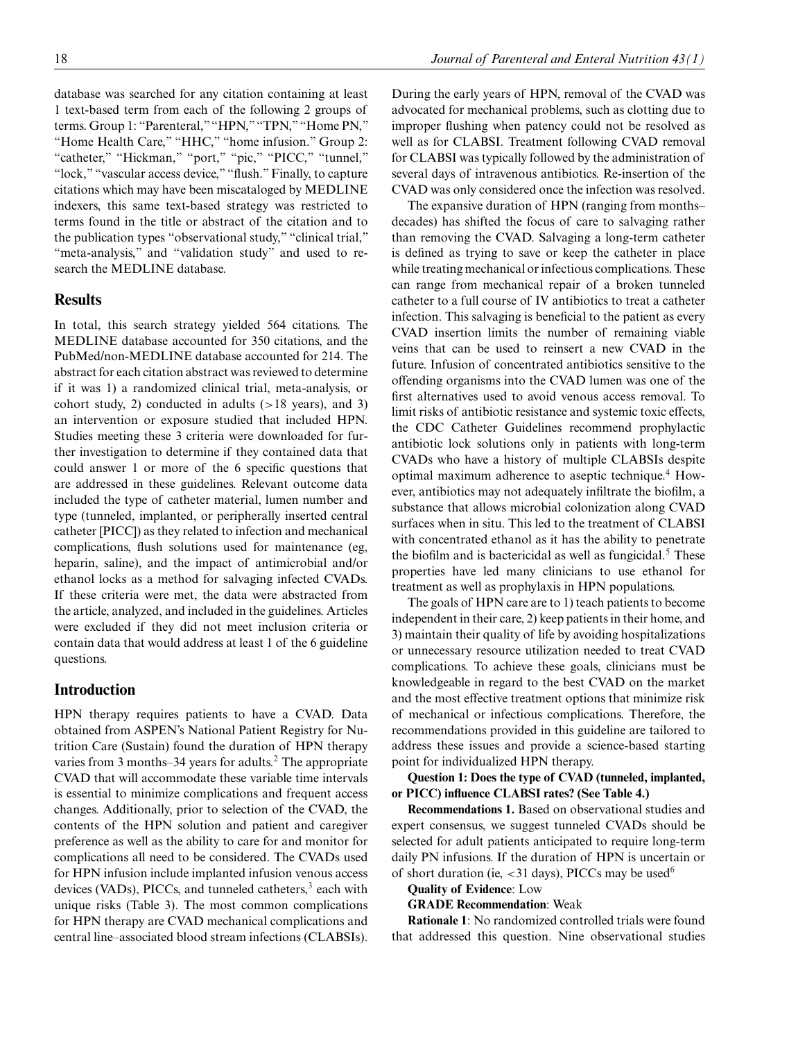1 text-based term from each of the following 2 groups of terms. Group 1: "Parenteral," "HPN," "TPN," "Home PN," "Home Health Care," "HHC," "home infusion." Group 2: "catheter," "Hickman," "port," "pic," "PICC," "tunnel," "lock," "vascular access device," "flush." Finally, to capture citations which may have been miscataloged by MEDLINE indexers, this same text-based strategy was restricted to terms found in the title or abstract of the citation and to the publication types "observational study," "clinical trial," "meta-analysis," and "validation study" and used to research the MEDLINE database.

### **Results**

In total, this search strategy yielded 564 citations. The MEDLINE database accounted for 350 citations, and the PubMed/non-MEDLINE database accounted for 214. The abstract for each citation abstract was reviewed to determine if it was 1) a randomized clinical trial, meta-analysis, or cohort study, 2) conducted in adults  $(>18$  years), and 3) an intervention or exposure studied that included HPN. Studies meeting these 3 criteria were downloaded for further investigation to determine if they contained data that could answer 1 or more of the 6 specific questions that are addressed in these guidelines. Relevant outcome data included the type of catheter material, lumen number and type (tunneled, implanted, or peripherally inserted central catheter [PICC]) as they related to infection and mechanical complications, flush solutions used for maintenance (eg, heparin, saline), and the impact of antimicrobial and/or ethanol locks as a method for salvaging infected CVADs. If these criteria were met, the data were abstracted from the article, analyzed, and included in the guidelines. Articles were excluded if they did not meet inclusion criteria or contain data that would address at least 1 of the 6 guideline questions.

### **Introduction**

HPN therapy requires patients to have a CVAD. Data obtained from ASPEN's National Patient Registry for Nutrition Care (Sustain) found the duration of HPN therapy varies from 3 months–34 years for adults.<sup>2</sup> The appropriate CVAD that will accommodate these variable time intervals is essential to minimize complications and frequent access changes. Additionally, prior to selection of the CVAD, the contents of the HPN solution and patient and caregiver preference as well as the ability to care for and monitor for complications all need to be considered. The CVADs used for HPN infusion include implanted infusion venous access devices (VADs), PICCs, and tunneled catheters, $3$  each with unique risks (Table 3). The most common complications for HPN therapy are CVAD mechanical complications and central line–associated blood stream infections (CLABSIs). During the early years of HPN, removal of the CVAD was advocated for mechanical problems, such as clotting due to improper flushing when patency could not be resolved as well as for CLABSI. Treatment following CVAD removal for CLABSI was typically followed by the administration of several days of intravenous antibiotics. Re-insertion of the CVAD was only considered once the infection was resolved.

The expansive duration of HPN (ranging from months– decades) has shifted the focus of care to salvaging rather than removing the CVAD. Salvaging a long-term catheter is defined as trying to save or keep the catheter in place while treating mechanical or infectious complications. These can range from mechanical repair of a broken tunneled catheter to a full course of IV antibiotics to treat a catheter infection. This salvaging is beneficial to the patient as every CVAD insertion limits the number of remaining viable veins that can be used to reinsert a new CVAD in the future. Infusion of concentrated antibiotics sensitive to the offending organisms into the CVAD lumen was one of the first alternatives used to avoid venous access removal. To limit risks of antibiotic resistance and systemic toxic effects, the CDC Catheter Guidelines recommend prophylactic antibiotic lock solutions only in patients with long-term CVADs who have a history of multiple CLABSIs despite optimal maximum adherence to aseptic technique.<sup>4</sup> However, antibiotics may not adequately infiltrate the biofilm, a substance that allows microbial colonization along CVAD surfaces when in situ. This led to the treatment of CLABSI with concentrated ethanol as it has the ability to penetrate the biofilm and is bactericidal as well as fungicidal.<sup>5</sup> These properties have led many clinicians to use ethanol for treatment as well as prophylaxis in HPN populations.

The goals of HPN care are to 1) teach patients to become independent in their care, 2) keep patients in their home, and 3) maintain their quality of life by avoiding hospitalizations or unnecessary resource utilization needed to treat CVAD complications. To achieve these goals, clinicians must be knowledgeable in regard to the best CVAD on the market and the most effective treatment options that minimize risk of mechanical or infectious complications. Therefore, the recommendations provided in this guideline are tailored to address these issues and provide a science-based starting point for individualized HPN therapy.

### **Question 1: Does the type of CVAD (tunneled, implanted, or PICC) influence CLABSI rates? (See Table 4.)**

**Recommendations 1.** Based on observational studies and expert consensus, we suggest tunneled CVADs should be selected for adult patients anticipated to require long-term daily PN infusions. If the duration of HPN is uncertain or of short duration (ie,  $\lt 31$  days), PICCs may be used<sup>6</sup>

#### **Quality of Evidence**: Low

**GRADE Recommendation**: Weak

**Rationale 1**: No randomized controlled trials were found that addressed this question. Nine observational studies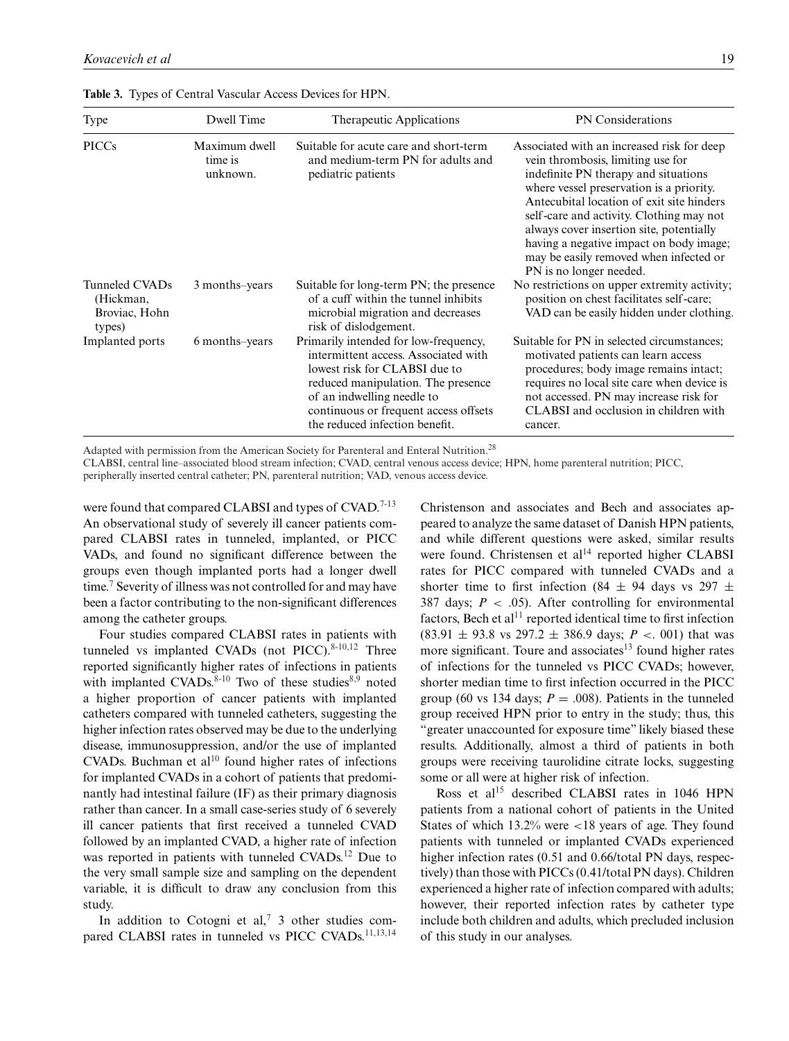| Type                                                   | Dwell Time                           | <b>Therapeutic Applications</b>                                                                                                                                                                                                                               | PN Considerations                                                                                                                                                                                                                                                                                                                                                                                                        |
|--------------------------------------------------------|--------------------------------------|---------------------------------------------------------------------------------------------------------------------------------------------------------------------------------------------------------------------------------------------------------------|--------------------------------------------------------------------------------------------------------------------------------------------------------------------------------------------------------------------------------------------------------------------------------------------------------------------------------------------------------------------------------------------------------------------------|
| <b>PICCs</b>                                           | Maximum dwell<br>time is<br>unknown. | Suitable for acute care and short-term<br>and medium-term PN for adults and<br>pediatric patients                                                                                                                                                             | Associated with an increased risk for deep<br>vein thrombosis, limiting use for<br>indefinite PN therapy and situations<br>where vessel preservation is a priority.<br>Antecubital location of exit site hinders<br>self-care and activity. Clothing may not<br>always cover insertion site, potentially<br>having a negative impact on body image;<br>may be easily removed when infected or<br>PN is no longer needed. |
| Tunneled CVADs<br>(Hickman,<br>Broviac, Hohn<br>types) | 3 months-years                       | Suitable for long-term PN; the presence<br>of a cuff within the tunnel inhibits<br>microbial migration and decreases<br>risk of dislodgement.                                                                                                                 | No restrictions on upper extremity activity;<br>position on chest facilitates self-care;<br>VAD can be easily hidden under clothing.                                                                                                                                                                                                                                                                                     |
| Implanted ports                                        | 6 months-years                       | Primarily intended for low-frequency,<br>intermittent access. Associated with<br>lowest risk for CLABSI due to<br>reduced manipulation. The presence<br>of an indwelling needle to<br>continuous or frequent access offsets<br>the reduced infection benefit. | Suitable for PN in selected circumstances;<br>motivated patients can learn access<br>procedures; body image remains intact;<br>requires no local site care when device is<br>not accessed. PN may increase risk for<br>CLABSI and occlusion in children with<br>cancer.                                                                                                                                                  |

**Table 3.** Types of Central Vascular Access Devices for HPN.

Adapted with permission from the American Society for Parenteral and Enteral Nutrition.<sup>28</sup>

CLABSI, central line–associated blood stream infection; CVAD, central venous access device; HPN, home parenteral nutrition; PICC,

peripherally inserted central catheter; PN, parenteral nutrition; VAD, venous access device.

were found that compared CLABSI and types of CVAD.<sup>7-13</sup> An observational study of severely ill cancer patients compared CLABSI rates in tunneled, implanted, or PICC VADs, and found no significant difference between the groups even though implanted ports had a longer dwell time.<sup>7</sup> Severity of illness was not controlled for and may have been a factor contributing to the non-significant differences among the catheter groups.

Four studies compared CLABSI rates in patients with tunneled vs implanted CVADs (not PICC). $8-10,12$  Three reported significantly higher rates of infections in patients with implanted CVADs.<sup>8-10</sup> Two of these studies<sup>8,9</sup> noted a higher proportion of cancer patients with implanted catheters compared with tunneled catheters, suggesting the higher infection rates observed may be due to the underlying disease, immunosuppression, and/or the use of implanted CVADs. Buchman et  $al^{10}$  found higher rates of infections for implanted CVADs in a cohort of patients that predominantly had intestinal failure (IF) as their primary diagnosis rather than cancer. In a small case-series study of 6 severely ill cancer patients that first received a tunneled CVAD followed by an implanted CVAD, a higher rate of infection was reported in patients with tunneled CVADs.<sup>12</sup> Due to the very small sample size and sampling on the dependent variable, it is difficult to draw any conclusion from this study.

In addition to Cotogni et al,<sup>7</sup> 3 other studies compared CLABSI rates in tunneled vs PICC CVADs.<sup>11,13,14</sup> Christenson and associates and Bech and associates appeared to analyze the same dataset of Danish HPN patients, and while different questions were asked, similar results were found. Christensen et al<sup>14</sup> reported higher CLABSI rates for PICC compared with tunneled CVADs and a shorter time to first infection (84  $\pm$  94 days vs 297  $\pm$ 387 days;  $P < .05$ ). After controlling for environmental factors, Bech et  $al<sup>11</sup>$  reported identical time to first infection  $(83.91 \pm 93.8 \text{ vs } 297.2 \pm 386.9 \text{ days}; P < .001)$  that was more significant. Toure and associates<sup>13</sup> found higher rates of infections for the tunneled vs PICC CVADs; however, shorter median time to first infection occurred in the PICC group (60 vs 134 days;  $P = .008$ ). Patients in the tunneled group received HPN prior to entry in the study; thus, this "greater unaccounted for exposure time" likely biased these results. Additionally, almost a third of patients in both groups were receiving taurolidine citrate locks, suggesting some or all were at higher risk of infection.

Ross et al<sup>15</sup> described CLABSI rates in 1046 HPN patients from a national cohort of patients in the United States of which 13.2% were <18 years of age. They found patients with tunneled or implanted CVADs experienced higher infection rates (0.51 and 0.66/total PN days, respectively) than those with PICCs (0.41/total PN days). Children experienced a higher rate of infection compared with adults; however, their reported infection rates by catheter type include both children and adults, which precluded inclusion of this study in our analyses.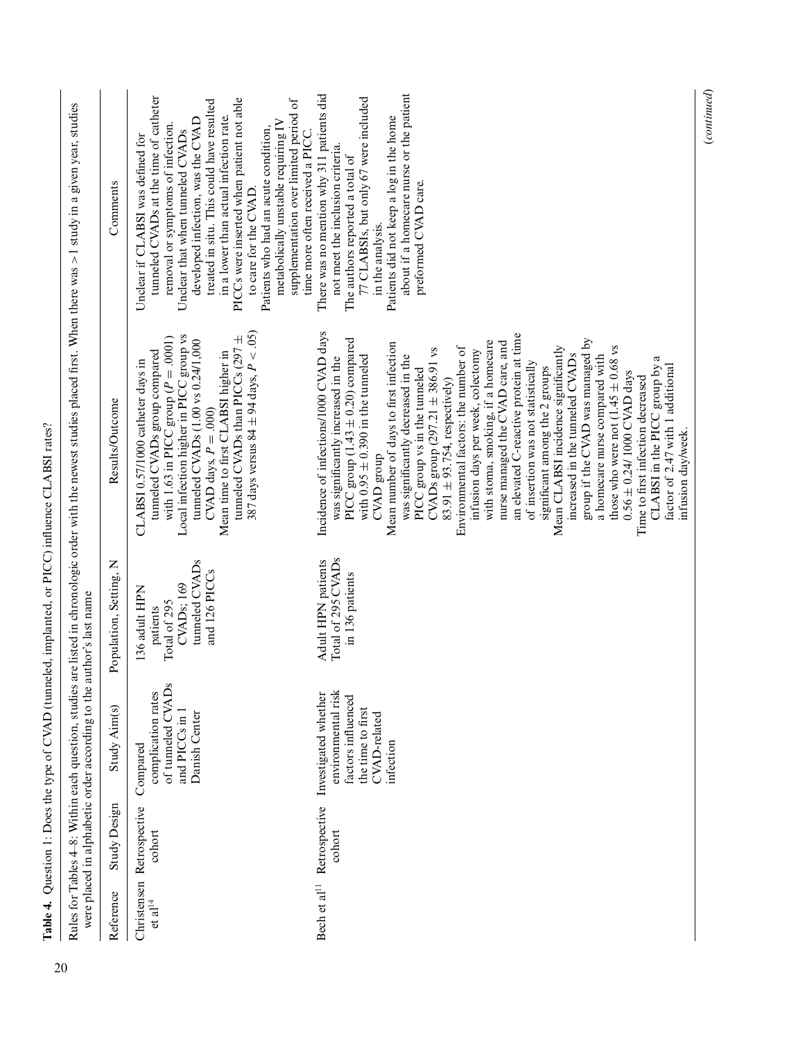|                                                                                                                          | Comments               | tunneled CVADs at the time of catheter<br>PICCs were inserted when patient not able<br>supplementation over limited period of<br>treated in situ. This could have resulted<br>in a lower than actual infection rate.<br>developed infection, was the CVAD<br>metabolically unstable requiring IV<br>removal or symptoms of infection.<br>Patients who had an acute condition,<br>Unclear that when tunneled CVADs<br>time more often received a PICC.<br>Unclear if CLABSI was defined for<br>to care for the CVAD. | about if a homecare nurse or the patient<br>There was no mention why 311 patients did<br>77 CLABSIs, but only 67 were included<br>Patients did not keep a log in the home<br>not meet the inclusion criteria.<br>The authors reported a total of<br>preformed CVAD care.<br>in the analysis.                                                                                                                                                                                                                                                                                                                                                                                                                                                                                                                                                                                                                                                                                                                            |
|--------------------------------------------------------------------------------------------------------------------------|------------------------|---------------------------------------------------------------------------------------------------------------------------------------------------------------------------------------------------------------------------------------------------------------------------------------------------------------------------------------------------------------------------------------------------------------------------------------------------------------------------------------------------------------------|-------------------------------------------------------------------------------------------------------------------------------------------------------------------------------------------------------------------------------------------------------------------------------------------------------------------------------------------------------------------------------------------------------------------------------------------------------------------------------------------------------------------------------------------------------------------------------------------------------------------------------------------------------------------------------------------------------------------------------------------------------------------------------------------------------------------------------------------------------------------------------------------------------------------------------------------------------------------------------------------------------------------------|
| are listed in chronologic order with the newest studies placed first. When there was $>1$ study in a given year, studies | Results/Outcome        | 387 days versus 84 $\pm$ 94 days, $P < .05$ )<br>Local infection higher in PICC group vs<br>with 1.63 in PICC group $(P = .0001)$<br>tunneled CVADs than PICCs (297 $\pm$<br>tunneled CVADs (1.00 vs 0.24/1,000<br>tunneled CVADs group compared<br>Mean time to first CLABSI higher in<br>CLABSI 0.57/1000 catheter days in<br>$\text{CVAD}$ days, $P = .000$ )                                                                                                                                                    | Incidence of infections/1000 CVAD days<br>an elevated C-reactive protein at time<br>PICC group $(1.43 \pm 0.20)$ compared<br>group if the CVAD was managed by<br>with stoma, smoking, if a homecare<br>Mean number of days to first infection<br>nurse managed the CVAD care, and<br>those who were not (1.45 $\pm$ 0.68 vs<br>Environmental factors: the number of<br>Mean CLABSI incidence significantly<br>CVADs group $(297.21 \pm 386.91 \text{ vs }$<br>infusion days per week, colectomy<br>with $0.95 \pm 0.390$ in the tunneled<br>was significantly decreased in the<br>increased in the tunneled CVADs<br>a homecare nurse compared with<br>was significantly increased in the<br>CLABSI in the PICC group by a<br>of insertion was not statistically<br>factor of 2.47 with 1 additional<br>significant among the 2 groups<br>PICC group vs in the tunneled<br>$0.56 \pm 0.24/1000$ CVAD days<br>Time to first infection decreased<br>83.91 $\pm$ 93.754, respectively)<br>infusion day/week.<br>CVAD group |
| author's last name                                                                                                       | Population, Setting, N | tunneled CVADs<br>and 126 PICCs<br>CVADs; 169<br>136 adult HPN<br>Total of 295<br>patients                                                                                                                                                                                                                                                                                                                                                                                                                          | Total of 295 CVADs<br>Adult HPN patients<br>in 136 patients                                                                                                                                                                                                                                                                                                                                                                                                                                                                                                                                                                                                                                                                                                                                                                                                                                                                                                                                                             |
| Rules for Tables 4-8: Within each question, studies<br>were placed in alphabetic order according to the                  | Study Aim(s)           | of tunneled CVADs<br>complication rates<br>and PICCs in 1<br>Danish Center<br>Compared                                                                                                                                                                                                                                                                                                                                                                                                                              | environmental risk<br>Investigated whether<br>factors influenced<br>the time to first<br>CVAD-related<br>infection                                                                                                                                                                                                                                                                                                                                                                                                                                                                                                                                                                                                                                                                                                                                                                                                                                                                                                      |
|                                                                                                                          | Study Design           | Christensen Retrospective<br>cohort                                                                                                                                                                                                                                                                                                                                                                                                                                                                                 | Bech et al <sup>11</sup> Retrospective<br>cohort                                                                                                                                                                                                                                                                                                                                                                                                                                                                                                                                                                                                                                                                                                                                                                                                                                                                                                                                                                        |
|                                                                                                                          | Reference              | et al $^{14}$                                                                                                                                                                                                                                                                                                                                                                                                                                                                                                       |                                                                                                                                                                                                                                                                                                                                                                                                                                                                                                                                                                                                                                                                                                                                                                                                                                                                                                                                                                                                                         |

(*continued*)

Table 4. Question 1: Does the type of CVAD (tunneled, implanted, or PICC) influence CLABSI rates? **Table 4.** Question 1: Does the type of CVAD (tunneled, implanted, or PICC) influence CLABSI rates?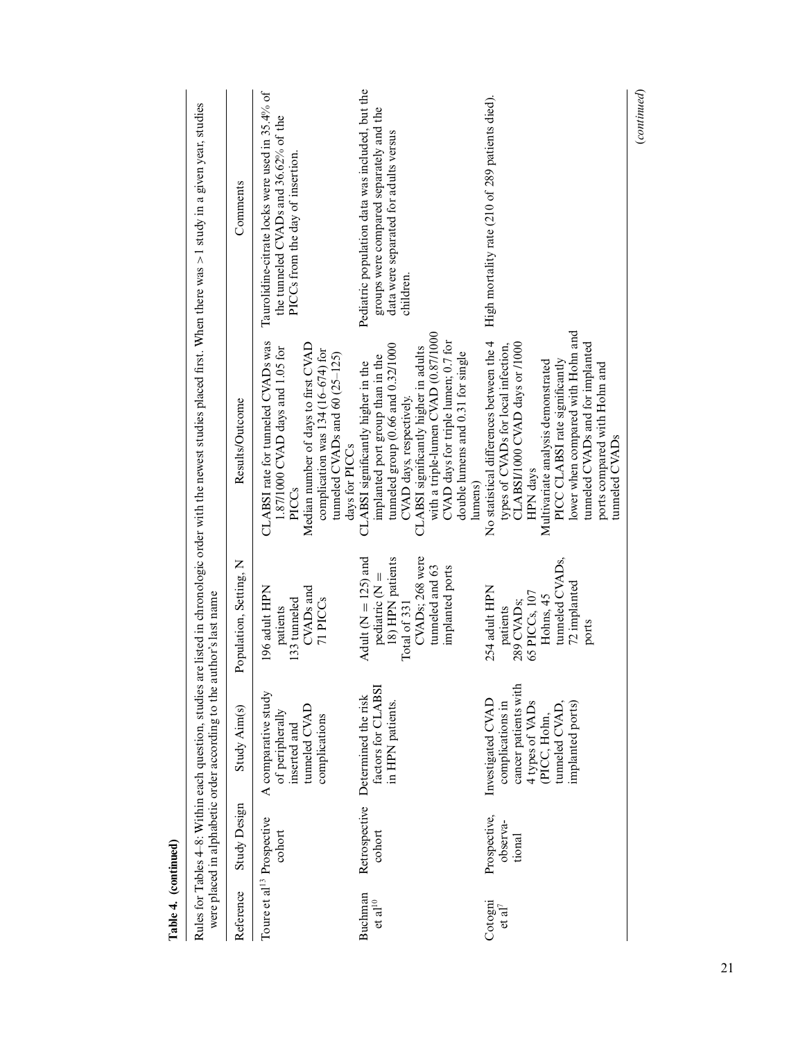| Table 4. (continued)             |                                                 |                                                                                                                                       |                                                                                                                                         |                                                                                                                                                                                                                                                                                                                                         |                                                                                                                                                                            |
|----------------------------------|-------------------------------------------------|---------------------------------------------------------------------------------------------------------------------------------------|-----------------------------------------------------------------------------------------------------------------------------------------|-----------------------------------------------------------------------------------------------------------------------------------------------------------------------------------------------------------------------------------------------------------------------------------------------------------------------------------------|----------------------------------------------------------------------------------------------------------------------------------------------------------------------------|
|                                  |                                                 | were placed in alphabetic order according to the author's last name                                                                   |                                                                                                                                         |                                                                                                                                                                                                                                                                                                                                         | Rules for Tables 4-8: Within each question, studies are listed in chronologic order with the newest studies placed first. When there was >1 study in a given year, studies |
| Reference                        | <b>Study Design</b>                             | Study Aim(s)                                                                                                                          | Population, Setting, N                                                                                                                  | Results/Outcome                                                                                                                                                                                                                                                                                                                         | Comments                                                                                                                                                                   |
|                                  | Toure et al <sup>13</sup> Prospective<br>cohort | A comparative study<br>tunneled CVAD<br>of peripherally<br>complications<br>inserted and                                              | 196 adult HPN<br>$CVADs$ and<br>71 PICCs<br>133 tunneled<br>patients                                                                    | CLABSI rate for tunneled CVADs was<br>Median number of days to first CVAD<br>1.87/1000 CVAD days and 1.05 for<br>complication was 134 (16-674) for<br>tunneled CVADs and 60 (25-125)<br>days for PICCs<br>PICCs                                                                                                                         | Taurolidine-citrate locks were used in 35.4% of<br>the tunneled CVADs and 36.62% of the<br>PICCs from the day of insertion.                                                |
| Buchman<br>$et al^{10}$          | cohort                                          | factors for CLABSI<br>Retrospective Determined the risk<br>in HPN patients.                                                           | Adult ( $N = 125$ ) and<br>CVADs; 268 were<br>18) HPN patients<br>Total of 331<br>tunneled and 63<br>implanted ports<br>$pediatric(N =$ | with a triple-lumen CVAD (0.87/1000<br>CVAD days for triple lumen; 0.7 for<br>tunneled group (0.66 and 0.32/1000<br>CLABSI significantly higher in adults<br>double lumens and 0.31 for single<br>implanted port group than in the<br>CLABSI significantly higher in the<br>CVAD days, respectively.<br>lumens                          | Pediatric population data was included, but the<br>groups were compared separately and the<br>data were separated for adults versus<br>children.                           |
| Cotogni<br>${\bf c} {\bf t}$ al' | Prospective,<br>observa-<br>tional              | cancer patients with<br>Investigated CVAD<br>complications in<br>4 types of VADs<br>implanted ports)<br>tunneled CVAD<br>(PICC, Hohn, | tunneled CVADs,<br>72 implanted<br>254 adult HPN<br>65 PICCs, 107<br>Hohns, 45<br>289 CVADs;<br>patients<br>ports                       | lower when compared with Hohn and<br>No statistical differences between the 4<br>CLABSI/1000 CVAD days or /1000<br>tunneled CVADs and for implanted<br>types of CVADs for local infection,<br>PICC CLABSI rate significantly<br>Multivariate analysis demonstrated<br>ports compared with Hohn and<br>tunneled CVADs<br><b>HPN</b> days | High mortality rate (210 of 289 patients died).                                                                                                                            |

(*continued*)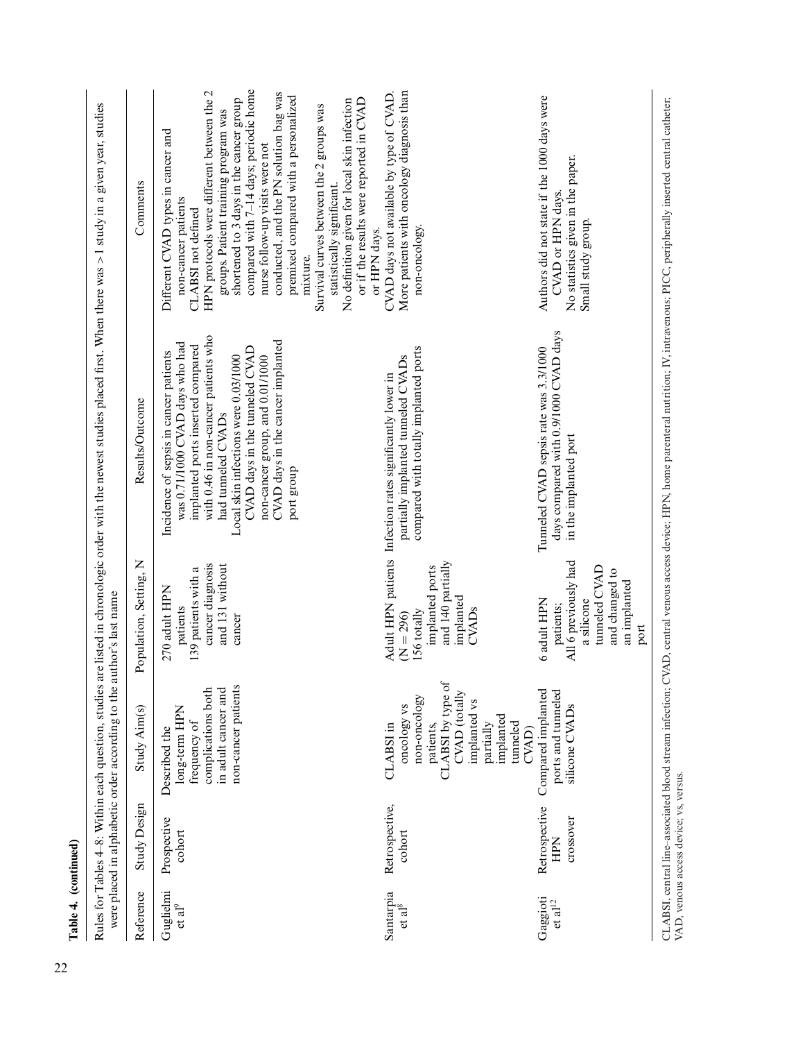|                                          |                                        | were placed in alphabetic order according to the author's last name                                                                                               |                                                                                                                           | Rules for Tables 4-8: Within each question, studies are listed in chronologic order with the newest studies placed first. When there was >1 study in a given year, studies                                                                                                                                                                   |                                                                                                                                                                                                                                                                                                                                                                                                                                                                                                                                                                                   |
|------------------------------------------|----------------------------------------|-------------------------------------------------------------------------------------------------------------------------------------------------------------------|---------------------------------------------------------------------------------------------------------------------------|----------------------------------------------------------------------------------------------------------------------------------------------------------------------------------------------------------------------------------------------------------------------------------------------------------------------------------------------|-----------------------------------------------------------------------------------------------------------------------------------------------------------------------------------------------------------------------------------------------------------------------------------------------------------------------------------------------------------------------------------------------------------------------------------------------------------------------------------------------------------------------------------------------------------------------------------|
| Reference                                | Study Design                           | Study Aim(s)                                                                                                                                                      | Population, Setting, N                                                                                                    | Results/Outcome                                                                                                                                                                                                                                                                                                                              | Comments                                                                                                                                                                                                                                                                                                                                                                                                                                                                                                                                                                          |
| Guglielmi<br>$et al9$                    | Prospective<br>cohort                  | non-cancer patients<br>complications both<br>in adult cancer and<br>long-term HPN<br>frequency of<br>Described the                                                | cancer diagnosis<br>and 131 without<br>139 patients with a<br>270 adult HPN<br>patients<br>cancer                         | with 0.46 in non-cancer patients who<br>CVAD days in the cancer implanted<br>was 0.71/1000 CVAD days who had<br>implanted ports inserted compared<br>CVAD days in the tunneled CVAD<br>Incidence of sepsis in cancer patients<br>non-cancer group, and 0.01/1000<br>Local skin infections were 0.03/1000<br>had tunneled CVADs<br>port group | compared with 7-14 days; periodic home<br>HPN protocols were different between the 2<br>conducted, and the PN solution bag was<br>premixed compared with a personalized<br>or if the results were reported in CVAD<br>shortened to 3 days in the cancer group<br>No definition given for local skin infection<br>Survival curves between the 2 groups was<br>groups. Patient training program was<br>Different CVAD types in cancer and<br>nurse follow-up visits were not<br>statistically significant.<br>non-cancer patients<br>CLABSI not defined<br>or HPN days.<br>mixture. |
| Santarpia<br>et al $8$                   | Retrospective,<br>cohort               | CLABSI by type of<br><b>CVAD</b> (totally<br>non-oncology<br>implanted vs<br>oncology vs<br>implanted<br>partially<br>tunneled<br>patients,<br>CLABSI in<br>CVAD) | and 140 partially<br>implanted ports<br>implanted<br>CVAD <sub>s</sub><br>156 totally<br>$(N = 296)$                      | compared with totally implanted ports<br>partially implanted tunneled CVADs<br>Adult HPN patients Infection rates significantly lower in                                                                                                                                                                                                     | More patients with oncology diagnosis than<br>CVAD days not available by type of CVAD.<br>non-oncology.                                                                                                                                                                                                                                                                                                                                                                                                                                                                           |
| Gaggioti<br>${\bf e} {\bf t}$ al $^{12}$ | Retrospective<br>crossover<br>HPN      | Compared implanted<br>ports and tunneled<br>silicone CVADs                                                                                                        | All 6 previously had<br>tunneled CVAD<br>and changed to<br>an implanted<br>6 adult HPN<br>a silicone<br>patients;<br>port | days compared with 0.9/1000 CVAD days<br>Tunneled CVAD sepsis rate was 3.3/1000<br>in the implanted port                                                                                                                                                                                                                                     | Authors did not state if the 1000 days were<br>No statistics given in the paper.<br>CVAD or HPN days.<br>Small study group.                                                                                                                                                                                                                                                                                                                                                                                                                                                       |
|                                          | VAD, venous access device; vs, versus. |                                                                                                                                                                   |                                                                                                                           | CLABSI, central line-associated blood stream infection; CVAD, central venous access device; HPN, home parenteral nutrition; IV, intravenous; PICC, peripherally inserted central catheter;                                                                                                                                                   |                                                                                                                                                                                                                                                                                                                                                                                                                                                                                                                                                                                   |

**Table 4. (continued)**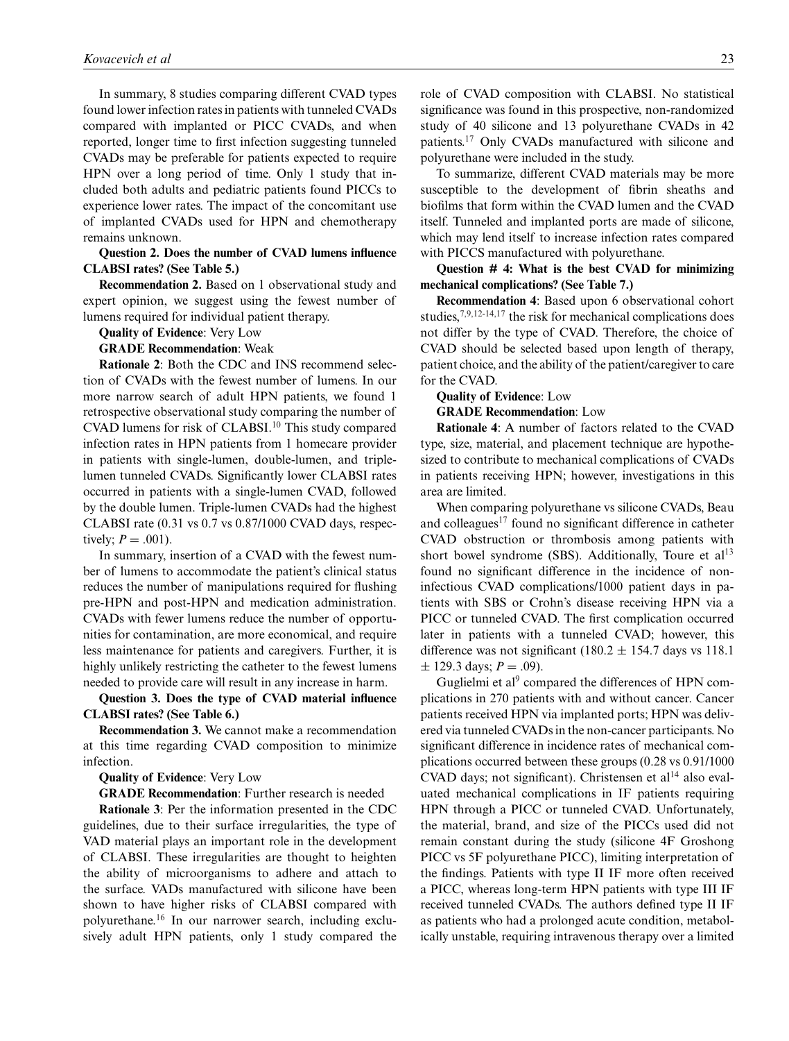In summary, 8 studies comparing different CVAD types found lower infection rates in patients with tunneled CVADs compared with implanted or PICC CVADs, and when reported, longer time to first infection suggesting tunneled CVADs may be preferable for patients expected to require HPN over a long period of time. Only 1 study that included both adults and pediatric patients found PICCs to experience lower rates. The impact of the concomitant use of implanted CVADs used for HPN and chemotherapy remains unknown.

### **Question 2. Does the number of CVAD lumens influence CLABSI rates? (See Table 5.)**

**Recommendation 2.** Based on 1 observational study and expert opinion, we suggest using the fewest number of lumens required for individual patient therapy.

**Quality of Evidence**: Very Low

#### **GRADE Recommendation**: Weak

**Rationale 2**: Both the CDC and INS recommend selection of CVADs with the fewest number of lumens. In our more narrow search of adult HPN patients, we found 1 retrospective observational study comparing the number of CVAD lumens for risk of CLABSI.<sup>10</sup> This study compared infection rates in HPN patients from 1 homecare provider in patients with single-lumen, double-lumen, and triplelumen tunneled CVADs. Significantly lower CLABSI rates occurred in patients with a single-lumen CVAD, followed by the double lumen. Triple-lumen CVADs had the highest CLABSI rate (0.31 vs 0.7 vs 0.87/1000 CVAD days, respectively;  $P = .001$ ).

In summary, insertion of a CVAD with the fewest number of lumens to accommodate the patient's clinical status reduces the number of manipulations required for flushing pre-HPN and post-HPN and medication administration. CVADs with fewer lumens reduce the number of opportunities for contamination, are more economical, and require less maintenance for patients and caregivers. Further, it is highly unlikely restricting the catheter to the fewest lumens needed to provide care will result in any increase in harm.

#### **Question 3. Does the type of CVAD material influence CLABSI rates? (See Table 6.)**

**Recommendation 3.** We cannot make a recommendation at this time regarding CVAD composition to minimize infection.

#### **Quality of Evidence**: Very Low

**GRADE Recommendation**: Further research is needed

**Rationale 3**: Per the information presented in the CDC guidelines, due to their surface irregularities, the type of VAD material plays an important role in the development of CLABSI. These irregularities are thought to heighten the ability of microorganisms to adhere and attach to the surface. VADs manufactured with silicone have been shown to have higher risks of CLABSI compared with polyurethane.<sup>16</sup> In our narrower search, including exclusively adult HPN patients, only 1 study compared the role of CVAD composition with CLABSI. No statistical significance was found in this prospective, non-randomized study of 40 silicone and 13 polyurethane CVADs in 42 patients.<sup>17</sup> Only CVADs manufactured with silicone and polyurethane were included in the study.

To summarize, different CVAD materials may be more susceptible to the development of fibrin sheaths and biofilms that form within the CVAD lumen and the CVAD itself. Tunneled and implanted ports are made of silicone, which may lend itself to increase infection rates compared with PICCS manufactured with polyurethane.

**Question # 4: What is the best CVAD for minimizing mechanical complications? (See Table 7.)**

**Recommendation 4**: Based upon 6 observational cohort studies, $7,9,12-14,17$  the risk for mechanical complications does not differ by the type of CVAD. Therefore, the choice of CVAD should be selected based upon length of therapy, patient choice, and the ability of the patient/caregiver to care for the CVAD.

#### **Quality of Evidence**: Low

#### **GRADE Recommendation**: Low

**Rationale 4**: A number of factors related to the CVAD type, size, material, and placement technique are hypothesized to contribute to mechanical complications of CVADs in patients receiving HPN; however, investigations in this area are limited.

When comparing polyurethane vs silicone CVADs, Beau and colleagues<sup>17</sup> found no significant difference in catheter CVAD obstruction or thrombosis among patients with short bowel syndrome (SBS). Additionally, Toure et  $al<sup>13</sup>$ found no significant difference in the incidence of noninfectious CVAD complications/1000 patient days in patients with SBS or Crohn's disease receiving HPN via a PICC or tunneled CVAD. The first complication occurred later in patients with a tunneled CVAD; however, this difference was not significant (180.2  $\pm$  154.7 days vs 118.1  $\pm$  129.3 days; *P* = .09).

Guglielmi et al<sup>9</sup> compared the differences of HPN complications in 270 patients with and without cancer. Cancer patients received HPN via implanted ports; HPN was delivered via tunneled CVADs in the non-cancer participants. No significant difference in incidence rates of mechanical complications occurred between these groups (0.28 vs 0.91/1000 CVAD days; not significant). Christensen et al<sup>14</sup> also evaluated mechanical complications in IF patients requiring HPN through a PICC or tunneled CVAD. Unfortunately, the material, brand, and size of the PICCs used did not remain constant during the study (silicone 4F Groshong PICC vs 5F polyurethane PICC), limiting interpretation of the findings. Patients with type II IF more often received a PICC, whereas long-term HPN patients with type III IF received tunneled CVADs. The authors defined type II IF as patients who had a prolonged acute condition, metabolically unstable, requiring intravenous therapy over a limited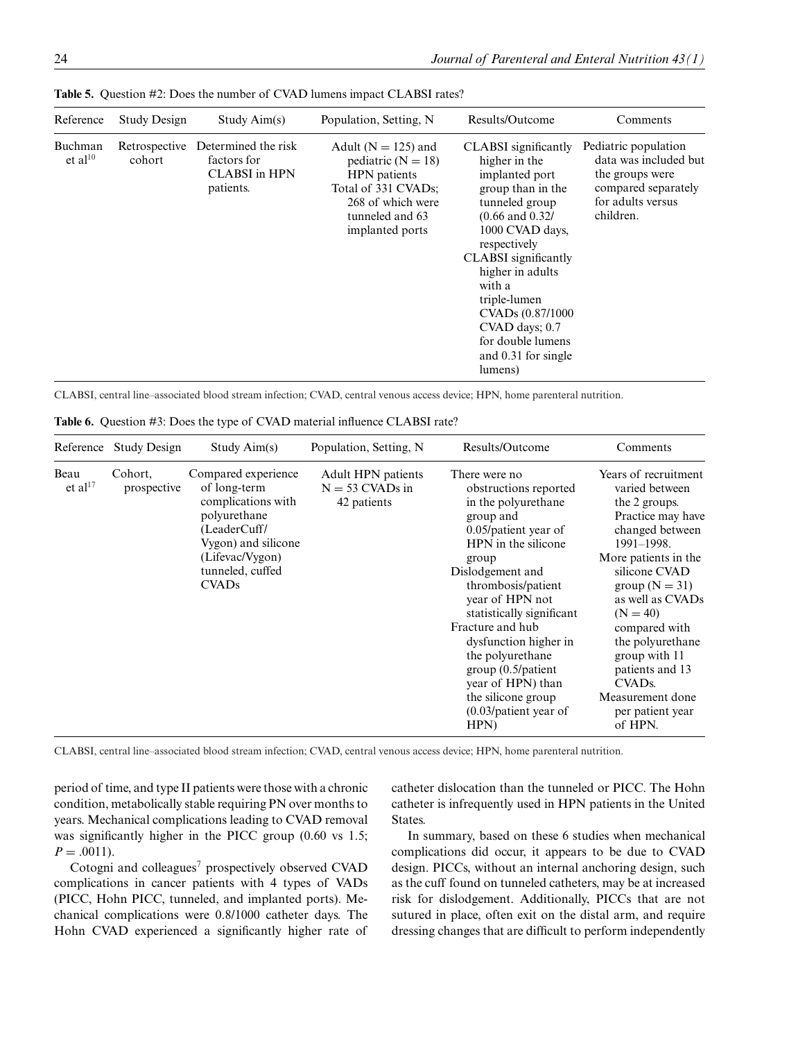| Reference                        | <b>Study Design</b>     | Study Aim(s)                                                            | Population, Setting, N                                                                                                                              | Results/Outcome                                                                                                                                                                                                                                                                                                                          | Comments                                                                                                                  |
|----------------------------------|-------------------------|-------------------------------------------------------------------------|-----------------------------------------------------------------------------------------------------------------------------------------------------|------------------------------------------------------------------------------------------------------------------------------------------------------------------------------------------------------------------------------------------------------------------------------------------------------------------------------------------|---------------------------------------------------------------------------------------------------------------------------|
| Buchman<br>$et$ al <sup>10</sup> | Retrospective<br>cohort | Determined the risk<br>factors for<br><b>CLABSI</b> in HPN<br>patients. | Adult ( $N = 125$ ) and<br>pediatric ( $N = 18$ )<br>HPN patients<br>Total of 331 CVADs:<br>268 of which were<br>tunneled and 63<br>implanted ports | CLABSI significantly<br>higher in the<br>implanted port<br>group than in the<br>tunneled group<br>$(0.66$ and $0.32/$<br>1000 CVAD days.<br>respectively<br>CLABSI significantly<br>higher in adults<br>with a<br>triple-lumen<br>CVAD <sub>s</sub> (0.87/1000)<br>CVAD days; 0.7<br>for double lumens<br>and 0.31 for single<br>lumens) | Pediatric population<br>data was included but<br>the groups were<br>compared separately<br>for adults versus<br>children. |

**Table 5.** Question #2: Does the number of CVAD lumens impact CLABSI rates?

CLABSI, central line–associated blood stream infection; CVAD, central venous access device; HPN, home parenteral nutrition.

| Table 6. Question #3: Does the type of CVAD material influence CLABSI rate? |  |
|-----------------------------------------------------------------------------|--|
|                                                                             |  |

| Reference          | <b>Study Design</b>    | Study Aim(s)                                                                                                                                                            | Population, Setting, N                                        | Results/Outcome                                                                                                                                                                                                                                                                                                                                                                                      | Comments                                                                                                                                                                                                                                                                                                                                                          |
|--------------------|------------------------|-------------------------------------------------------------------------------------------------------------------------------------------------------------------------|---------------------------------------------------------------|------------------------------------------------------------------------------------------------------------------------------------------------------------------------------------------------------------------------------------------------------------------------------------------------------------------------------------------------------------------------------------------------------|-------------------------------------------------------------------------------------------------------------------------------------------------------------------------------------------------------------------------------------------------------------------------------------------------------------------------------------------------------------------|
| Beau<br>et al $17$ | Cohort.<br>prospective | Compared experience<br>of long-term<br>complications with<br>polyurethane<br>(LeaderCuff/<br>Vygon) and silicone<br>(Lifevac/Vygon)<br>tunneled, cuffed<br><b>CVADs</b> | <b>Adult HPN</b> patients<br>$N = 53$ CVADs in<br>42 patients | There were no<br>obstructions reported<br>in the polyurethane.<br>group and<br>0.05/patient year of<br>HPN in the silicone<br>group<br>Dislodgement and<br>thrombosis/patient<br>year of HPN not<br>statistically significant<br>Fracture and hub<br>dysfunction higher in<br>the polyurethane<br>group (0.5/patient)<br>year of HPN) than<br>the silicone group<br>$(0.03$ /patient year of<br>HPN) | Years of recruitment<br>varied between<br>the 2 groups.<br>Practice may have<br>changed between<br>1991–1998.<br>More patients in the<br>silicone CVAD<br>group ( $N = 31$ )<br>as well as CVADs<br>$(N = 40)$<br>compared with<br>the polyurethane<br>group with 11<br>patients and 13<br>CVAD <sub>s</sub> .<br>Measurement done<br>per patient year<br>of HPN. |

CLABSI, central line–associated blood stream infection; CVAD, central venous access device; HPN, home parenteral nutrition.

period of time, and type II patients were those with a chronic condition, metabolically stable requiring PN over months to years. Mechanical complications leading to CVAD removal was significantly higher in the PICC group (0.60 vs 1.5;  $P = .0011$ .

Cotogni and colleagues $<sup>7</sup>$  prospectively observed CVAD</sup> complications in cancer patients with 4 types of VADs (PICC, Hohn PICC, tunneled, and implanted ports). Mechanical complications were 0.8/1000 catheter days. The Hohn CVAD experienced a significantly higher rate of catheter dislocation than the tunneled or PICC. The Hohn catheter is infrequently used in HPN patients in the United States.

In summary, based on these 6 studies when mechanical complications did occur, it appears to be due to CVAD design. PICCs, without an internal anchoring design, such as the cuff found on tunneled catheters, may be at increased risk for dislodgement. Additionally, PICCs that are not sutured in place, often exit on the distal arm, and require dressing changes that are difficult to perform independently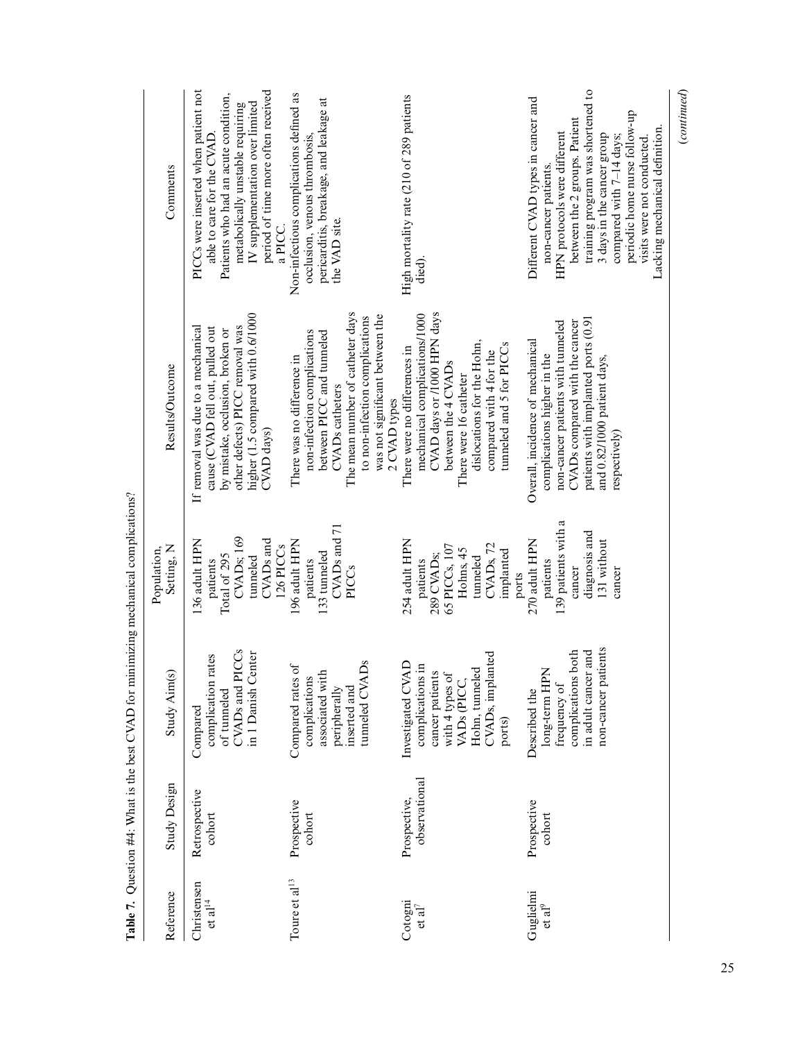|                                             |                               | Table 7. Question #4: What is the best CVAD for minimizing mechanical complications?                                                                   |                                                                                                                                   |                                                                                                                                                                                                                                           |                                                                                                                                                                                                                                                                                                                            |
|---------------------------------------------|-------------------------------|--------------------------------------------------------------------------------------------------------------------------------------------------------|-----------------------------------------------------------------------------------------------------------------------------------|-------------------------------------------------------------------------------------------------------------------------------------------------------------------------------------------------------------------------------------------|----------------------------------------------------------------------------------------------------------------------------------------------------------------------------------------------------------------------------------------------------------------------------------------------------------------------------|
| Reference                                   | Study Design                  | Study Aim(s)                                                                                                                                           | Setting, N<br>Population,                                                                                                         | Results/Outcome                                                                                                                                                                                                                           | Comments                                                                                                                                                                                                                                                                                                                   |
| Christensen<br>${\rm \bf et\;al^{14}}$      | Retrospective<br>cohort       | CVADs and PICCs<br>in 1 Danish Center<br>rates<br>complication<br>of tunneled<br>Compared                                                              | CVADs; 169<br>CVADs and<br>136 adult HPN<br>126 PICCs<br>Total of 295<br>tunneled<br>patients                                     | higher (1.5 compared with 0.6/1000<br>If removal was due to a mechanical<br>other defects) PICC removal was<br>cause (CVAD fell out, pulled out<br>by mistake, occlusion, broken or<br>CVAD days)                                         | PICCs were inserted when patient not<br>period of time more often received<br>Patients who had an acute condition,<br>IV supplementation over limited<br>metabolically unstable requiring<br>able to care for the CVAD.<br>a PICC.                                                                                         |
| Toure et al <sup>13</sup>                   | Prospective<br>cohort         | tunneled CVADs<br>Compared rates of<br>곱<br>complications<br>associated wit<br>inserted and<br>peripherally                                            | CVADs and 71<br>196 adult HPN<br>133 tunneled<br>patients<br>PICCs                                                                | The mean number of catheter days<br>was not significant between the<br>to non-infection complications<br>non-infection complications<br>between PICC and tunneled<br>There was no difference in<br><b>CVADs</b> catheters<br>2 CVAD types | Non-infectious complications defined as<br>pericarditis, breakage, and leakage at<br>occlusion, venous thrombosis,<br>the VAD site.                                                                                                                                                                                        |
| Cotogni<br>${\rm et\, al\hspace{0.05cm}}^7$ | observational<br>Prospective, | CVADs, implanted<br>Investigated CVAD<br>complications in<br>Hohn, tunneled<br>cancer patients<br>with 4 types of<br>VAD <sub>s</sub> (PICC,<br>ports) | 254 adult HPN<br>CVAD <sub>s</sub> , 72<br>65 PICCs, 107<br>Hohns, 45<br>implanted<br>289 CVADs;<br>tunneled<br>patients<br>ports | CVAD days or /1000 HPN days<br>mechanical complications/1000<br>dislocations for the Hohn,<br>tunneled and 5 for PICCs<br>There were no differences in<br>compared with 4 for the<br>between the 4 CVADs<br>There were 16 catheter        | High mortality rate (210 of 289 patients<br>died).                                                                                                                                                                                                                                                                         |
| Guglielmi<br>et al <sup>9</sup>             | Prospective<br>cohort         | non-cancer patients<br>complications both<br>in adult cancer and<br>long-term HPN<br>frequency of<br>Described the                                     | 139 patients with a<br>diagnosis and<br>270 adult HPN<br>131 without<br>patients<br>cancer<br>cancer                              | patients with implanted ports (0.91<br>CVADs compared with the cancer<br>non-cancer patients with tunneled<br>Overall, incidence of mechanical<br>complications higher in the<br>and 0.82/1000 patient days,<br>respectively)             | training program was shortened to<br>Different CVAD types in cancer and<br>periodic home nurse follow-up<br>between the 2 groups. Patient<br>Lacking mechanical definition.<br>HPN protocols were different<br>3 days in the cancer group<br>compared with 7-14 days;<br>visits were not conducted<br>non-cancer patients. |

(*continued*)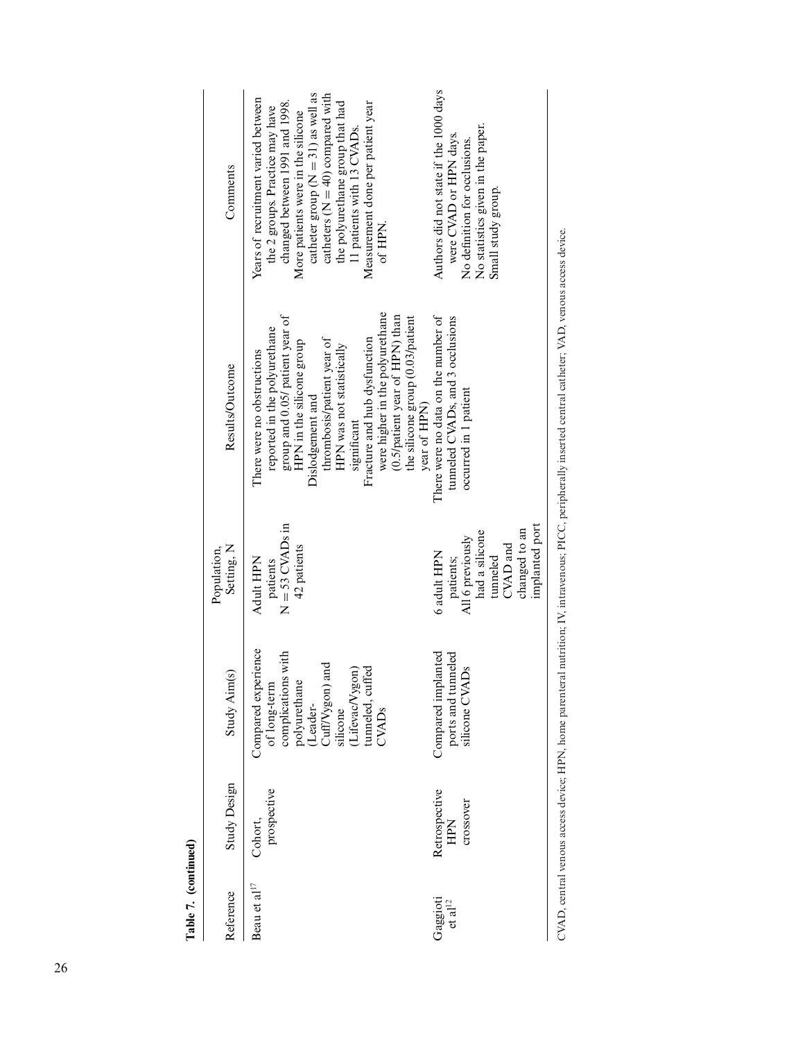| Table 7. (continued)        |                                   |                                                                                                                                                                                         |                                                                                                                           |                                                                                                                                                                                                                                                                                                                                                                   |                                                                                                                                                                                                                                                                                                                                                |
|-----------------------------|-----------------------------------|-----------------------------------------------------------------------------------------------------------------------------------------------------------------------------------------|---------------------------------------------------------------------------------------------------------------------------|-------------------------------------------------------------------------------------------------------------------------------------------------------------------------------------------------------------------------------------------------------------------------------------------------------------------------------------------------------------------|------------------------------------------------------------------------------------------------------------------------------------------------------------------------------------------------------------------------------------------------------------------------------------------------------------------------------------------------|
| Reference                   | Study Design                      | Study Aim(s)                                                                                                                                                                            | Setting, N<br>Population,                                                                                                 | Results/Outcome                                                                                                                                                                                                                                                                                                                                                   | Comments                                                                                                                                                                                                                                                                                                                                       |
| Beau et al <sup>17</sup>    | prospective<br>Cohort,            | Compared experience<br>complications with<br>polyurethane<br>(Leader-<br>and<br>$(LifewaCVygon)$ tunneled, cuffed<br>of long-term<br>Cuff/Vygon)<br>silicone<br><b>CVAD<sub>s</sub></b> | $N = 53$ CVADs in<br>42 patients<br>Adult HPN<br>patients                                                                 | were higher in the polyurethane<br>group and 0.05/ patient year of<br>(0.5/patient year of HPN) than<br>the silicone group (0.03/patient<br>reported in the polyurethane<br>Fracture and hub dysfunction<br>thrombosis/patient year of<br>HPN in the silicone group<br>HPN was not statistically<br>There were no obstructions<br>Dislodgement and<br>significant | catheter group $(N = 31)$ as well as<br>catheters ( $N = 40$ ) compared with<br>Years of recruitment varied between<br>changed between 1991 and 1998.<br>the polyurethane group that had<br>Measurement done per patient year<br>the 2 groups. Practice may have<br>More patients were in the silicone<br>11 patients with 13 CVADs.<br>of HPN |
| Gaggioti<br>$et$ al $^{12}$ | Retrospective<br>crossover<br>HPN | Compared implanted<br>ports and tunneled<br>silicone CVADs                                                                                                                              | implanted port<br>changed to an<br>had a silicone<br>All 6 previously<br>CVAD and<br>6 adult HPN<br>tunneled<br>patients; | There were no data on the number of<br>tunneled CVADs, and 3 occlusions<br>occurred in 1 patient<br>year of HPN)                                                                                                                                                                                                                                                  | Authors did not state if the 1000 days<br>No statistics given in the paper.<br>were CVAD or HPN days.<br>No definition for occlusions.<br>Small study group.                                                                                                                                                                                   |
|                             |                                   |                                                                                                                                                                                         |                                                                                                                           |                                                                                                                                                                                                                                                                                                                                                                   |                                                                                                                                                                                                                                                                                                                                                |

CVAD, central venous access device; HPN, home parenteral nutrition; IV, intravenous; PICC, peripherally inserted central catheter; VAD, venous access device. CVAD, central venous access device; HPN, home parenteral nutrition; IV, intravenous; PICC, peripherally inserted central catheter; VAD, venous access device.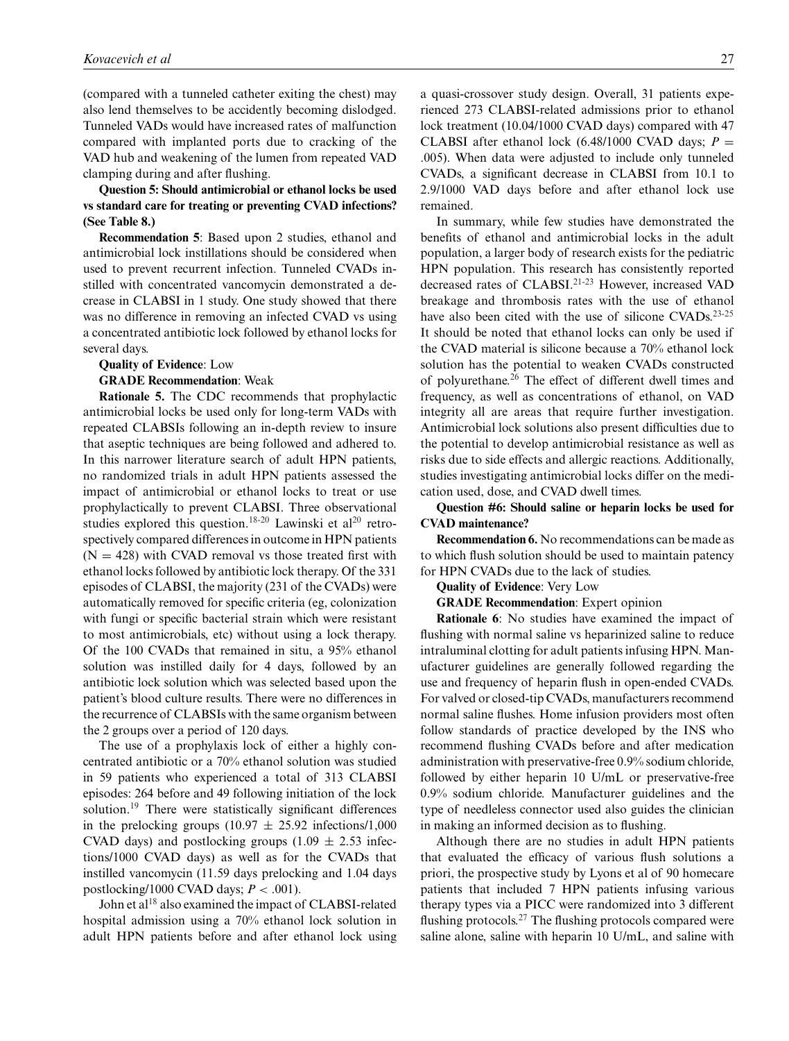(compared with a tunneled catheter exiting the chest) may also lend themselves to be accidently becoming dislodged. Tunneled VADs would have increased rates of malfunction compared with implanted ports due to cracking of the VAD hub and weakening of the lumen from repeated VAD clamping during and after flushing.

**Question 5: Should antimicrobial or ethanol locks be used vs standard care for treating or preventing CVAD infections? (See Table 8.)**

**Recommendation 5**: Based upon 2 studies, ethanol and antimicrobial lock instillations should be considered when used to prevent recurrent infection. Tunneled CVADs instilled with concentrated vancomycin demonstrated a decrease in CLABSI in 1 study. One study showed that there was no difference in removing an infected CVAD vs using a concentrated antibiotic lock followed by ethanol locks for several days.

### **Quality of Evidence**: Low **GRADE Recommendation**: Weak

**Rationale 5.** The CDC recommends that prophylactic antimicrobial locks be used only for long-term VADs with repeated CLABSIs following an in-depth review to insure that aseptic techniques are being followed and adhered to. In this narrower literature search of adult HPN patients, no randomized trials in adult HPN patients assessed the impact of antimicrobial or ethanol locks to treat or use prophylactically to prevent CLABSI. Three observational studies explored this question.<sup>18-20</sup> Lawinski et al<sup>20</sup> retrospectively compared differences in outcome in HPN patients  $(N = 428)$  with CVAD removal vs those treated first with ethanol locks followed by antibiotic lock therapy. Of the 331 episodes of CLABSI, the majority (231 of the CVADs) were automatically removed for specific criteria (eg, colonization with fungi or specific bacterial strain which were resistant to most antimicrobials, etc) without using a lock therapy. Of the 100 CVADs that remained in situ, a 95% ethanol solution was instilled daily for 4 days, followed by an antibiotic lock solution which was selected based upon the patient's blood culture results. There were no differences in the recurrence of CLABSIs with the same organism between the 2 groups over a period of 120 days.

The use of a prophylaxis lock of either a highly concentrated antibiotic or a 70% ethanol solution was studied in 59 patients who experienced a total of 313 CLABSI episodes: 264 before and 49 following initiation of the lock solution.<sup>19</sup> There were statistically significant differences in the prelocking groups  $(10.97 \pm 25.92)$  infections/1,000 CVAD days) and postlocking groups  $(1.09 \pm 2.53 \text{ infec-}$ tions/1000 CVAD days) as well as for the CVADs that instilled vancomycin (11.59 days prelocking and 1.04 days postlocking/1000 CVAD days;  $P < .001$ ).

John et al<sup>18</sup> also examined the impact of CLABSI-related hospital admission using a 70% ethanol lock solution in adult HPN patients before and after ethanol lock using a quasi-crossover study design. Overall, 31 patients experienced 273 CLABSI-related admissions prior to ethanol lock treatment (10.04/1000 CVAD days) compared with 47 CLABSI after ethanol lock  $(6.48/1000 \text{ CVAD}$  days;  $P =$ .005). When data were adjusted to include only tunneled CVADs, a significant decrease in CLABSI from 10.1 to 2.9/1000 VAD days before and after ethanol lock use remained.

In summary, while few studies have demonstrated the benefits of ethanol and antimicrobial locks in the adult population, a larger body of research exists for the pediatric HPN population. This research has consistently reported decreased rates of CLABSI.<sup>21-23</sup> However, increased VAD breakage and thrombosis rates with the use of ethanol have also been cited with the use of silicone CVADs.<sup>23-25</sup> It should be noted that ethanol locks can only be used if the CVAD material is silicone because a 70% ethanol lock solution has the potential to weaken CVADs constructed of polyurethane.<sup>26</sup> The effect of different dwell times and frequency, as well as concentrations of ethanol, on VAD integrity all are areas that require further investigation. Antimicrobial lock solutions also present difficulties due to the potential to develop antimicrobial resistance as well as risks due to side effects and allergic reactions. Additionally, studies investigating antimicrobial locks differ on the medication used, dose, and CVAD dwell times.

### **Question #6: Should saline or heparin locks be used for CVAD maintenance?**

**Recommendation 6.** No recommendations can be made as to which flush solution should be used to maintain patency for HPN CVADs due to the lack of studies.

### **Quality of Evidence**: Very Low

**GRADE Recommendation**: Expert opinion

**Rationale 6**: No studies have examined the impact of flushing with normal saline vs heparinized saline to reduce intraluminal clotting for adult patients infusing HPN. Manufacturer guidelines are generally followed regarding the use and frequency of heparin flush in open-ended CVADs. For valved or closed-tip CVADs, manufacturers recommend normal saline flushes. Home infusion providers most often follow standards of practice developed by the INS who recommend flushing CVADs before and after medication administration with preservative-free 0.9% sodium chloride, followed by either heparin 10 U/mL or preservative-free 0.9% sodium chloride. Manufacturer guidelines and the type of needleless connector used also guides the clinician in making an informed decision as to flushing.

Although there are no studies in adult HPN patients that evaluated the efficacy of various flush solutions a priori, the prospective study by Lyons et al of 90 homecare patients that included 7 HPN patients infusing various therapy types via a PICC were randomized into 3 different flushing protocols.<sup>27</sup> The flushing protocols compared were saline alone, saline with heparin 10 U/mL, and saline with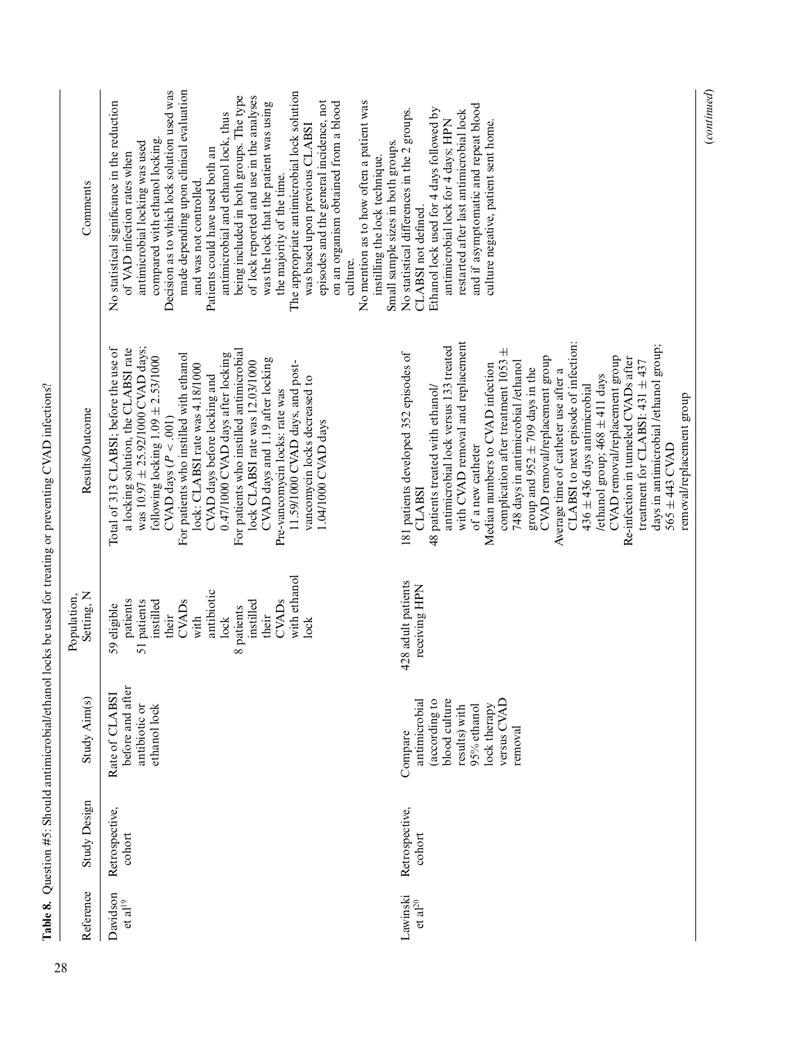| Comments                  | made depending upon clinical evaluation<br>Decision as to which lock solution used was<br>The appropriate antimicrobial lock solution<br>being included in both groups. The type<br>of lock reported and use in the analyses<br>No statistical significance in the reduction<br>episodes and the general incidence, not<br>was the lock that the patient was using<br>No mention as to how often a patient was<br>on an organism obtained from a blood<br>antimicrobial and ethanol lock, thus<br>was based upon previous CLABSI<br>compared with ethanol locking.<br>antimicrobial locking was used<br>Small sample sizes in both groups.<br>Patients could have used both an<br>of VAD infection rates when<br>instilling the lock technique.<br>the majority of the time.<br>and was not controlled.<br>culture. | and if asymptomatic and repeat blood<br>Ethanol lock used for 4 days followed by<br>restarted after last antimicrobial lock<br>No statistical differences in the 2 groups.<br>antimicrobial lock for 4 days; HPN<br>culture negative, patient sent home.<br>CLABSI not defined.                                                                                                                                                                                                                                                                                                                                                                                                                                                                           | (continued) |
|---------------------------|---------------------------------------------------------------------------------------------------------------------------------------------------------------------------------------------------------------------------------------------------------------------------------------------------------------------------------------------------------------------------------------------------------------------------------------------------------------------------------------------------------------------------------------------------------------------------------------------------------------------------------------------------------------------------------------------------------------------------------------------------------------------------------------------------------------------|-----------------------------------------------------------------------------------------------------------------------------------------------------------------------------------------------------------------------------------------------------------------------------------------------------------------------------------------------------------------------------------------------------------------------------------------------------------------------------------------------------------------------------------------------------------------------------------------------------------------------------------------------------------------------------------------------------------------------------------------------------------|-------------|
| Results/Outcome           | was 10.97 ± 25.92/1000 CVAD days;<br>Total of 313 CLABSI; before the use of<br>a locking solution, the CLABSI rate<br>For patients who instilled antimicrobial<br>0.47/1000 CVAD days after locking<br>For patients who instilled with ethanol<br>following locking $1.09 \pm 2.53/1000$<br>CVAD days and 1.19 after locking<br>11.59/1000 CVAD days, and post-<br>lock CLABSI rate was 12.03/1000<br>lock: CLABSI rate was 4.18/1000<br>CVAD days before locking and<br>vancomycin locks decreased to<br>Pre-vancomycin locks: rate was<br>$CVAD$ days $(P < .001)$<br>1.04/1000 CVAD days                                                                                                                                                                                                                         | with CVAD removal and replacement<br>CLABSI to next episode of infection:<br>days in antimicrobial /ethanol group;<br>antimicrobial lock versus 133 treated<br>complication after treatment 1053 ±<br>181 patients developed 352 episodes of<br>CVAD removal/replacement group<br>CVAD removal/replacement group<br>Re-infection in tunneled CVADs after<br>treatment for CLABSI: 431 $\pm$ 437<br>748 days in antimicrobial /ethanol<br>Median numbers to CVAD infection<br>group and $952 \pm 709$ days in the<br>Average time of catheter use after a<br>/ethanol group; $468 \pm 411$ days<br>$436 \pm 436$ days antimicrobial<br>48 patients treated with ethanol/<br>removal/replacement group<br>of a new catheter<br>$565 \pm 443$ CVAD<br>CLABSI |             |
| Setting, N<br>Population, | with ethanol<br>antibiotic<br>patients<br>instilled<br><b>CVAD<sub>s</sub></b><br>instilled<br><b>CVAD<sub>s</sub></b><br>patients<br>59 eligible<br>8 patients<br>their<br>their<br>with<br>lock<br>lock<br>51                                                                                                                                                                                                                                                                                                                                                                                                                                                                                                                                                                                                     | 428 adult patients<br>receiving HPN                                                                                                                                                                                                                                                                                                                                                                                                                                                                                                                                                                                                                                                                                                                       |             |
| Study Aim(s)              | before and after<br>Rate of CLABSI<br>antibiotic or<br>ethanol lock                                                                                                                                                                                                                                                                                                                                                                                                                                                                                                                                                                                                                                                                                                                                                 | blood culture<br>versus CVAD<br>(according to<br>antimicrobial<br>results) with<br>95% ethanol<br>lock therapy<br>removal<br>Compare                                                                                                                                                                                                                                                                                                                                                                                                                                                                                                                                                                                                                      |             |
| <b>Study Design</b>       | Retrospective,<br>cohort                                                                                                                                                                                                                                                                                                                                                                                                                                                                                                                                                                                                                                                                                                                                                                                            | Retrospective,<br>cohort                                                                                                                                                                                                                                                                                                                                                                                                                                                                                                                                                                                                                                                                                                                                  |             |
| Reference                 | Davidson<br>$et$ al $^{19}$                                                                                                                                                                                                                                                                                                                                                                                                                                                                                                                                                                                                                                                                                                                                                                                         | Lawinski<br>et al $^{20}$                                                                                                                                                                                                                                                                                                                                                                                                                                                                                                                                                                                                                                                                                                                                 |             |

Table 8. Question #5: Should antimicrobial/ethanol locks be used for treating or preventing CVAD infections? **Table 8.** Question #5: Should antimicrobial/ethanol locks be used for treating or preventing CVAD infections?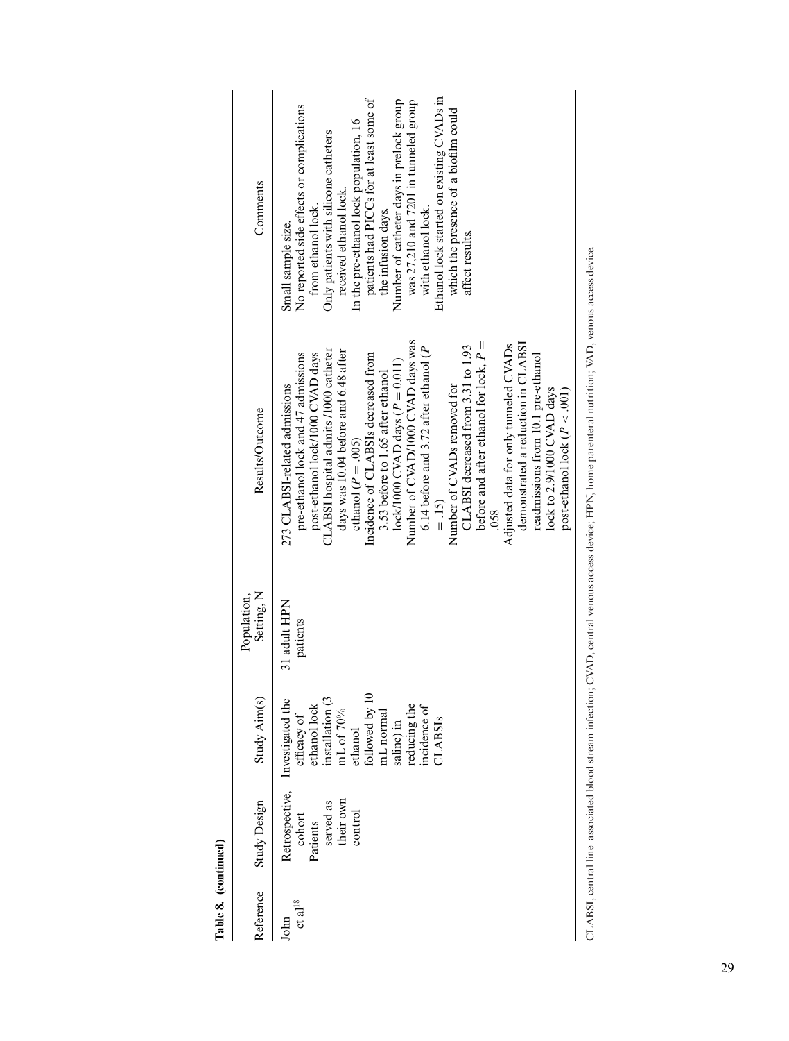| Table 8. (continued)                   |                                                                           |                                                                                                                                                                                           |                           |                                                                                                                                                                                                                                                                                                                                                                                                                                                                                                                                                                                                                                                                                                                                                       |                                                                                                                                                                                                                                                                                                                                                                                                                                                                                         |
|----------------------------------------|---------------------------------------------------------------------------|-------------------------------------------------------------------------------------------------------------------------------------------------------------------------------------------|---------------------------|-------------------------------------------------------------------------------------------------------------------------------------------------------------------------------------------------------------------------------------------------------------------------------------------------------------------------------------------------------------------------------------------------------------------------------------------------------------------------------------------------------------------------------------------------------------------------------------------------------------------------------------------------------------------------------------------------------------------------------------------------------|-----------------------------------------------------------------------------------------------------------------------------------------------------------------------------------------------------------------------------------------------------------------------------------------------------------------------------------------------------------------------------------------------------------------------------------------------------------------------------------------|
| Reference                              | <b>Study Design</b>                                                       | Study Aim(s)                                                                                                                                                                              | Setting, N<br>Population, | Results/Outcome                                                                                                                                                                                                                                                                                                                                                                                                                                                                                                                                                                                                                                                                                                                                       | Comments                                                                                                                                                                                                                                                                                                                                                                                                                                                                                |
| $et$ $\mathbf{al}^{\text{18}}$<br>John | Retrospective,<br>their own<br>served as<br>control<br>cohort<br>Patients | followed by 10<br>Investigated the<br>installation (3<br>reducing the<br>efficacy of<br>ethanol lock<br>incidence of<br>mL of 70%<br>mL normal<br><b>CLABSIS</b><br>saline) in<br>ethanol | 31 adult HPN<br>patients  | Number of CVAD/1000 CVAD days was<br>before and after ethanol for lock, $P =$<br>demonstrated a reduction in CLABSI<br>Adjusted data for only tunneled CVADs<br>CLABSI decreased from 3.31 to 1.93<br>6.14 before and 3.72 after ethanol $(P$<br>CLABSI hospital admits /1000 catheter<br>days was 10.04 before and 6.48 after<br>post-ethanol lock/1000 CVAD days<br>pre-ethanol lock and 47 admissions<br>Incidence of CLABSIs decreased from<br>readmissions from 10.1 pre-ethanol<br>$lock/1000$ CVAD days $(P = 0.011)$<br>3.53 before to 1.65 after ethanol<br>Number of CVADs removed for<br>273 CLABSI-related admissions<br>lock to 2.9/1000 CVAD days<br>post-ethanol lock ( $P < .001$ )<br>ethanol $(P = .005)$<br>$\frac{5}{15}$<br>.058 | Ethanol lock started on existing CVADs in<br>patients had PICCs for at least some of<br>Number of catheter days in prelock group<br>was 27,210 and 7201 in tunneled group<br>No reported side effects or complications<br>which the presence of a biofilm could<br>In the pre-ethanol lock population, 16<br>Only patients with silicone catheters<br>received ethanol lock.<br>from ethanol lock.<br>with ethanol lock.<br>the infusion days.<br>Small sample size.<br>affect results. |
|                                        |                                                                           |                                                                                                                                                                                           |                           | CLABSI, central line-associated blood stream infection; CVAD, central venous access device; HPN, home parenteral nutrition; VAD, venous access device.                                                                                                                                                                                                                                                                                                                                                                                                                                                                                                                                                                                                |                                                                                                                                                                                                                                                                                                                                                                                                                                                                                         |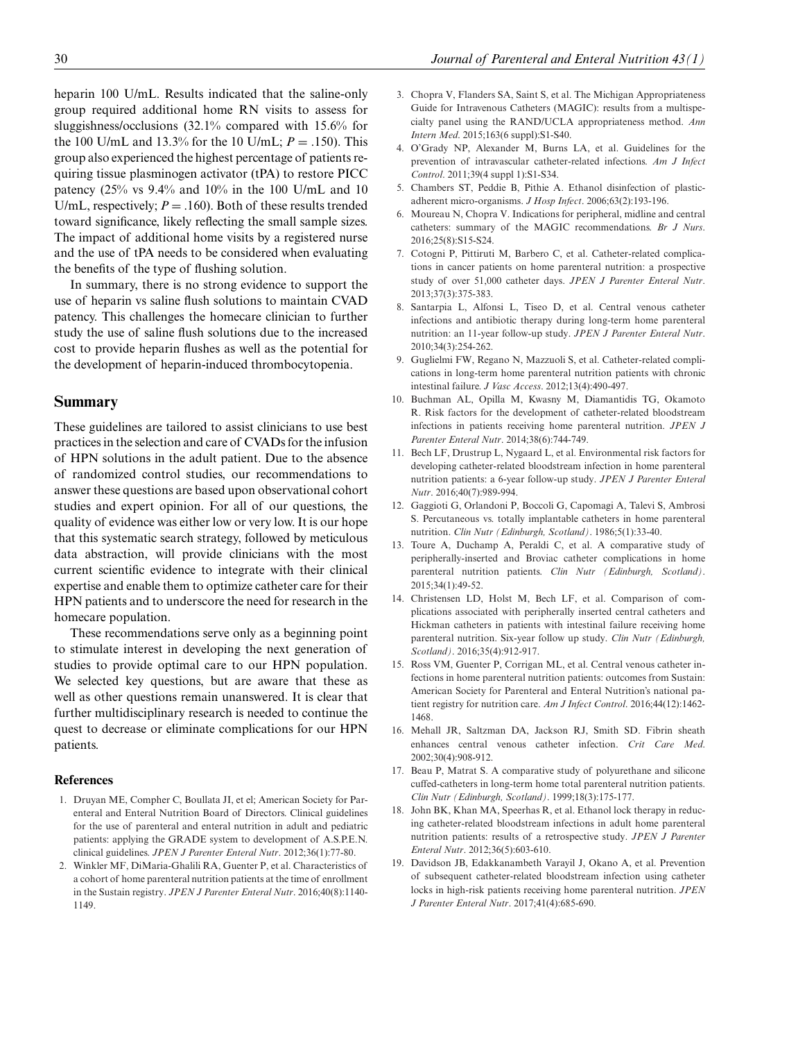heparin 100 U/mL. Results indicated that the saline-only group required additional home RN visits to assess for sluggishness/occlusions (32.1% compared with 15.6% for the 100 U/mL and 13.3% for the 10 U/mL;  $P = .150$ ). This group also experienced the highest percentage of patients requiring tissue plasminogen activator (tPA) to restore PICC patency (25% vs 9.4% and 10% in the 100 U/mL and 10 U/mL, respectively;  $P = .160$ ). Both of these results trended toward significance, likely reflecting the small sample sizes. The impact of additional home visits by a registered nurse and the use of tPA needs to be considered when evaluating the benefits of the type of flushing solution.

In summary, there is no strong evidence to support the use of heparin vs saline flush solutions to maintain CVAD patency. This challenges the homecare clinician to further study the use of saline flush solutions due to the increased cost to provide heparin flushes as well as the potential for the development of heparin-induced thrombocytopenia.

#### **Summary**

These guidelines are tailored to assist clinicians to use best practices in the selection and care of CVADs for the infusion of HPN solutions in the adult patient. Due to the absence of randomized control studies, our recommendations to answer these questions are based upon observational cohort studies and expert opinion. For all of our questions, the quality of evidence was either low or very low. It is our hope that this systematic search strategy, followed by meticulous data abstraction, will provide clinicians with the most current scientific evidence to integrate with their clinical expertise and enable them to optimize catheter care for their HPN patients and to underscore the need for research in the homecare population.

These recommendations serve only as a beginning point to stimulate interest in developing the next generation of studies to provide optimal care to our HPN population. We selected key questions, but are aware that these as well as other questions remain unanswered. It is clear that further multidisciplinary research is needed to continue the quest to decrease or eliminate complications for our HPN patients.

#### **References**

- 1. Druyan ME, Compher C, Boullata JI, et el; American Society for Parenteral and Enteral Nutrition Board of Directors. Clinical guidelines for the use of parenteral and enteral nutrition in adult and pediatric patients: applying the GRADE system to development of A.S.P.E.N. clinical guidelines. *JPEN J Parenter Enteral Nutr*. 2012;36(1):77-80.
- 2. Winkler MF, DiMaria-Ghalili RA, Guenter P, et al. Characteristics of a cohort of home parenteral nutrition patients at the time of enrollment in the Sustain registry. *JPEN J Parenter Enteral Nutr*. 2016;40(8):1140- 1149.
- 3. Chopra V, Flanders SA, Saint S, et al. The Michigan Appropriateness Guide for Intravenous Catheters (MAGIC): results from a multispecialty panel using the RAND/UCLA appropriateness method. *Ann Intern Med*. 2015;163(6 suppl):S1-S40.
- 4. O'Grady NP, Alexander M, Burns LA, et al. Guidelines for the prevention of intravascular catheter-related infections. *Am J Infect Control*. 2011;39(4 suppl 1):S1-S34.
- 5. Chambers ST, Peddie B, Pithie A. Ethanol disinfection of plasticadherent micro-organisms. *J Hosp Infect*. 2006;63(2):193-196.
- 6. Moureau N, Chopra V. Indications for peripheral, midline and central catheters: summary of the MAGIC recommendations. *Br J Nurs*. 2016;25(8):S15-S24.
- 7. Cotogni P, Pittiruti M, Barbero C, et al. Catheter-related complications in cancer patients on home parenteral nutrition: a prospective study of over 51,000 catheter days. *JPEN J Parenter Enteral Nutr*. 2013;37(3):375-383.
- 8. Santarpia L, Alfonsi L, Tiseo D, et al. Central venous catheter infections and antibiotic therapy during long-term home parenteral nutrition: an 11-year follow-up study. *JPEN J Parenter Enteral Nutr*. 2010;34(3):254-262.
- 9. Guglielmi FW, Regano N, Mazzuoli S, et al. Catheter-related complications in long-term home parenteral nutrition patients with chronic intestinal failure. *J Vasc Access*. 2012;13(4):490-497.
- 10. Buchman AL, Opilla M, Kwasny M, Diamantidis TG, Okamoto R. Risk factors for the development of catheter-related bloodstream infections in patients receiving home parenteral nutrition. *JPEN J Parenter Enteral Nutr*. 2014;38(6):744-749.
- 11. Bech LF, Drustrup L, Nygaard L, et al. Environmental risk factors for developing catheter-related bloodstream infection in home parenteral nutrition patients: a 6-year follow-up study. *JPEN J Parenter Enteral Nutr*. 2016;40(7):989-994.
- 12. Gaggioti G, Orlandoni P, Boccoli G, Capomagi A, Talevi S, Ambrosi S. Percutaneous vs. totally implantable catheters in home parenteral nutrition. *Clin Nutr (Edinburgh, Scotland)*. 1986;5(1):33-40.
- 13. Toure A, Duchamp A, Peraldi C, et al. A comparative study of peripherally-inserted and Broviac catheter complications in home parenteral nutrition patients. *Clin Nutr (Edinburgh, Scotland)*. 2015;34(1):49-52.
- 14. Christensen LD, Holst M, Bech LF, et al. Comparison of complications associated with peripherally inserted central catheters and Hickman catheters in patients with intestinal failure receiving home parenteral nutrition. Six-year follow up study. *Clin Nutr (Edinburgh, Scotland)*. 2016;35(4):912-917.
- 15. Ross VM, Guenter P, Corrigan ML, et al. Central venous catheter infections in home parenteral nutrition patients: outcomes from Sustain: American Society for Parenteral and Enteral Nutrition's national patient registry for nutrition care. *Am J Infect Control*. 2016;44(12):1462- 1468.
- 16. Mehall JR, Saltzman DA, Jackson RJ, Smith SD. Fibrin sheath enhances central venous catheter infection. *Crit Care Med*. 2002;30(4):908-912.
- 17. Beau P, Matrat S. A comparative study of polyurethane and silicone cuffed-catheters in long-term home total parenteral nutrition patients. *Clin Nutr (Edinburgh, Scotland)*. 1999;18(3):175-177.
- 18. John BK, Khan MA, Speerhas R, et al. Ethanol lock therapy in reducing catheter-related bloodstream infections in adult home parenteral nutrition patients: results of a retrospective study. *JPEN J Parenter Enteral Nutr*. 2012;36(5):603-610.
- 19. Davidson JB, Edakkanambeth Varayil J, Okano A, et al. Prevention of subsequent catheter-related bloodstream infection using catheter locks in high-risk patients receiving home parenteral nutrition. *JPEN J Parenter Enteral Nutr*. 2017;41(4):685-690.